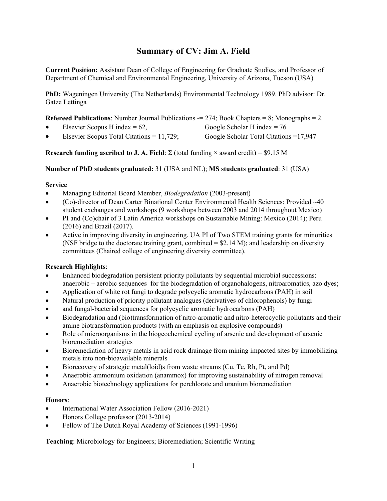# **Summary of CV: Jim A. Field**

**Current Position:** Assistant Dean of College of Engineering for Graduate Studies, and Professor of Department of Chemical and Environmental Engineering, University of Arizona, Tucson (USA)

**PhD:** Wageningen University (The Netherlands) Environmental Technology 1989. PhD advisor: Dr. Gatze Lettinga

|  | <b>Referred Publications:</b> Number Journal Publications $= 274$ ; Book Chapters $= 8$ ; Monographs $= 2$ . |  |  |  |  |  |
|--|--------------------------------------------------------------------------------------------------------------|--|--|--|--|--|
|--|--------------------------------------------------------------------------------------------------------------|--|--|--|--|--|

Elsevier Scopus H index =  $62$ , Google Scholar H index =  $76$ 

Elsevier Scopus Total Citations =  $11,729$ ; Google Scholar Total Citations = 17,947

**Research funding ascribed to J. A. Field:**  $\Sigma$  (total funding  $\times$  award credit) = \$9.15 M

**Number of PhD students graduated:** 31 (USA and NL); **MS students graduated**: 31 (USA)

# **Service**

- Managing Editorial Board Member, *Biodegradation* (2003-present)
- (Co)-director of Dean Carter Binational Center Environmental Health Sciences: Provided ~40 student exchanges and workshops (9 workshops between 2003 and 2014 throughout Mexico)
- PI and (Co)chair of 3 Latin America workshops on Sustainable Mining: Mexico (2014); Peru (2016) and Brazil (2017).
- Active in improving diversity in engineering. UA PI of Two STEM training grants for minorities (NSF bridge to the doctorate training grant, combined = \$2.14 M); and leadership on diversity committees (Chaired college of engineering diversity committee).

# **Research Highlights**:

- Enhanced biodegradation persistent priority pollutants by sequential microbial successions: anaerobic – aerobic sequences for the biodegradation of organohalogens, nitroaromatics, azo dyes;
- Application of white rot fungi to degrade polycyclic aromatic hydrocarbons (PAH) in soil
- Natural production of priority pollutant analogues (derivatives of chlorophenols) by fungi
- and fungal-bacterial sequences for polycyclic aromatic hydrocarbons (PAH)
- Biodegradation and (bio)transformation of nitro-aromatic and nitro-heterocyclic pollutants and their amine biotransformation products (with an emphasis on explosive compounds)
- Role of microorganisms in the biogeochemical cycling of arsenic and development of arsenic bioremediation strategies
- Bioremediation of heavy metals in acid rock drainage from mining impacted sites by immobilizing metals into non-bioavailable minerals
- Biorecovery of strategic metal(loid)s from waste streams (Cu, Te, Rh, Pt, and Pd)
- Anaerobic ammonium oxidation (anammox) for improving sustainability of nitrogen removal
- Anaerobic biotechnology applications for perchlorate and uranium bioremediation

# **Honors**:

- International Water Association Fellow (2016-2021)
- Honors College professor (2013-2014)
- Fellow of The Dutch Royal Academy of Sciences (1991-1996)

**Teaching**: Microbiology for Engineers; Bioremediation; Scientific Writing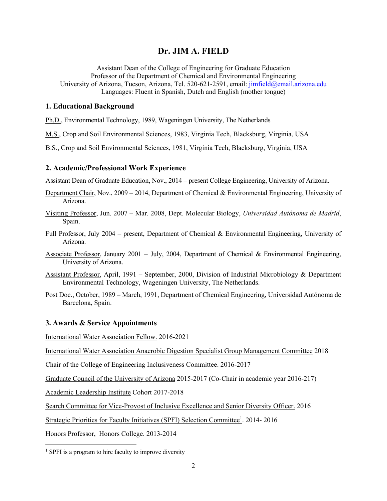# **Dr. JIM A. FIELD**

Assistant Dean of the College of Engineering for Graduate Education Professor of the Department of Chemical and Environmental Engineering University of Arizona, Tucson, Arizona, Tel. 520-621-2591, email: jimfield@email.arizona.edu Languages: Fluent in Spanish, Dutch and English (mother tongue)

# **1. Educational Background**

Ph.D., Environmental Technology, 1989, Wageningen University, The Netherlands

M.S., Crop and Soil Environmental Sciences, 1983, Virginia Tech, Blacksburg, Virginia, USA

B.S., Crop and Soil Environmental Sciences, 1981, Virginia Tech, Blacksburg, Virginia, USA

#### **2. Academic/Professional Work Experience**

Assistant Dean of Graduate Education, Nov., 2014 – present College Engineering, University of Arizona.

- Department Chair, Nov., 2009 2014, Department of Chemical & Environmental Engineering, University of Arizona.
- Visiting Professor, Jun. 2007 Mar. 2008, Dept. Molecular Biology, *Universidad Autónoma de Madrid*, Spain.
- Full Professor, July 2004 present, Department of Chemical & Environmental Engineering, University of Arizona.
- Associate Professor, January 2001 July, 2004, Department of Chemical & Environmental Engineering, University of Arizona.
- Assistant Professor, April, 1991 September, 2000, Division of Industrial Microbiology & Department Environmental Technology, Wageningen University, The Netherlands.
- Post Doc., October, 1989 March, 1991, Department of Chemical Engineering, Universidad Autónoma de Barcelona, Spain.

# **3. Awards & Service Appointments**

International Water Association Fellow. 2016-2021

International Water Association Anaerobic Digestion Specialist Group Management Committee 2018

Chair of the College of Engineering Inclusiveness Committee. 2016-2017

Graduate Council of the University of Arizona 2015-2017 (Co-Chair in academic year 2016-217)

Academic Leadership Institute Cohort 2017-2018

Search Committee for Vice-Provost of Inclusive Excellence and Senior Diversity Officer. 2016

Strategic Priorities for Faculty Initiatives (SPFI) Selection Committee<sup>1</sup>. 2014-2016

Honors Professor, Honors College. 2013-2014

 $\overline{a}$ 

<sup>&</sup>lt;sup>1</sup> SPFI is a program to hire faculty to improve diversity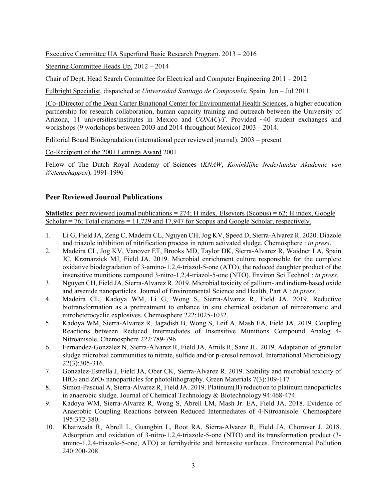Executive Committee UA Superfund Basic Research Program. 2013 – 2016

Steering Committee Heads Up. 2012 – 2014

Chair of Dept. Head Search Committee for Electrical and Computer Engineering 2011 – 2012

Fulbright Specialist, dispatched at *Universidad Santiago de Compostela*, Spain. Jun – Jul 2011

(Co-)Director of the Dean Carter Binational Center for Environmental Health Sciences, a higher education partnership for research collaboration, human capacity training and outreach between the University of Arizona, 11 universities/institutes in Mexico and *CONACyT*. Provided ~40 student exchanges and workshops (9 workshops between 2003 and 2014 throughout Mexico) 2003 – 2014.

Editorial Board Biodegradation (international peer reviewed journal). 2003 – present

Co-Recipient of the 2001 Lettinga Award 2001

Fellow of The Dutch Royal Academy of Sciences (*KNAW*, *Koninklijke Nederlandse Akademie van Wetenschappen*). 1991-1996

# **Peer Reviewed Journal Publications**

**Statistics**: peer reviewed journal publications = 274; H index, Elseviers (Scopus) = 62; H index, Google Scholar  $= 76$ ; Total citations  $= 11,729$  and 17,947 for Scopus and Google Scholar, respectively.

- 1. Li G, Field JA, Zeng C, Madeira CL, Nguyen CH, Jog KV, Speed D, Sierra-Alvarez R. 2020. Diazole and triazole inhibition of nitrification process in return activated sludge. Chemosphere : *in press*.
- 2. Madeira CL, Jog KV, Vanover ET, Brooks MD, Taylor DK, Sierra-Alvarez R, Waidner LA, Spain JC, Krzmarzick MJ, Field JA. 2019. Microbial enrichment culture responsible for the complete oxidative biodegradation of 3-amino-1,2,4-triazol-5-one (ATO), the reduced daughter product of the insensitive munitions compound 3-nitro-1,2,4-triazol-5-one (NTO). Environ Sci Technol : *in press*.
- 3. Nguyen CH, Field JA, Sierra-Alvarez R. 2019. Microbial toxicity of gallium- and indium-based oxide and arsenide nanoparticles. Journal of Environmental Science and Health, Part A : *in press*.
- 4. Madeira CL, Kadoya WM, Li G, Wong S, Sierra-Alvarez R, Field JA. 2019. Reductive biotransformation as a pretreatment to enhance in situ chemical oxidation of nitroaromatic and nitroheterocyclic explosives. Chemosphere 222:1025-1032.
- 5. Kadoya WM, Sierra-Alvarez R, Jagadish B, Wong S, Leif A, Mash EA, Field JA. 2019. Coupling Reactions between Reduced Intermediates of Insensitive Munitions Compound Analog 4- Nitroanisole. Chemosphere 222:789-796
- 6. Fernandez-Gonzalez N, Sierra-Alvarez R, Field JA, Amils R, Sanz JL. 2019. Adaptation of granular sludge microbial communities to nitrate, sulfide and/or p-cresol removal. International Microbiology 22(3):305-316.
- 7. Gonzalez-Estrella J, Field JA, Ober CK, Sierra-Alvarez R. 2019. Stability and microbial toxicity of HfO2 and ZrO2 nanoparticles for photolithography. Green Materials 7(3):109-117
- 8. Simon-Pascual A, Sierra-Alvarez R, Field JA. 2019. Platinum(II) reduction to platinum nanoparticles in anaerobic sludge. Journal of Chemical Technology & Biotechnology 94:468-474.
- 9. Kadoya WM, Sierra-Alvarez R, Wong S, Abrell LM, Mash Jr. EA, Field JA. 2018. Evidence of Anaerobic Coupling Reactions between Reduced Intermediates of 4-Nitroanisole. Chemosphere 195:372-380.
- 10. Khatiwada R, Abrell L, Guangbin L, Root RA, Sierra-Alvarez R, Field JA, Chorover J. 2018. Adsorption and oxidation of 3-nitro-1,2,4-triazole-5-one (NTO) and its transformation product (3 amino-1,2,4-triazole-5-one, ATO) at ferrihydrite and birnessite surfaces. Environmental Pollution 240:200-208.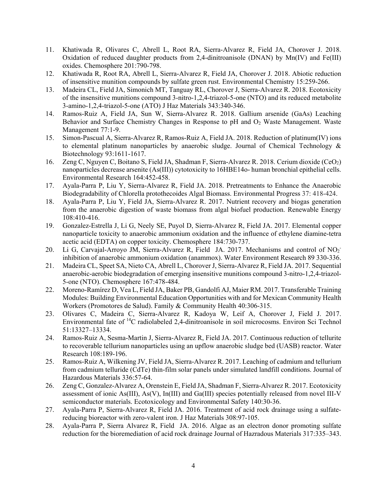- 11. Khatiwada R, Olivares C, Abrell L, Root RA, Sierra-Alvarez R, Field JA, Chorover J. 2018. Oxidation of reduced daughter products from 2,4-dinitroanisole (DNAN) by  $Mn(IV)$  and Fe(III) oxides. Chemosphere 201:790-798.
- 12. Khatiwada R, Root RA, Abrell L, Sierra-Alvarez R, Field JA, Chorover J. 2018. Abiotic reduction of insensitive munition compounds by sulfate green rust. Environmental Chemistry 15:259-266.
- 13. Madeira CL, Field JA, Simonich MT, Tanguay RL, Chorover J, Sierra-Alvarez R. 2018. Ecotoxicity of the insensitive munitions compound 3-nitro-1,2,4-triazol-5-one (NTO) and its reduced metabolite 3-amino-1,2,4-triazol-5-one (ATO) J Haz Materials 343:340-346.
- 14. Ramos-Ruiz A, Field JA, Sun W, Sierra-Alvarez R. 2018. Gallium arsenide (GaAs) Leaching Behavior and Surface Chemistry Changes in Response to pH and O<sub>2</sub> Waste Management. Waste Management 77:1-9.
- 15. Simon-Pascual A, Sierra-Alvarez R, Ramos-Ruiz A, Field JA. 2018. Reduction of platinum(IV) ions to elemental platinum nanoparticles by anaerobic sludge. Journal of Chemical Technology & Biotechnology 93:1611-1617.
- 16. Zeng C, Nguyen C, Boitano S, Field JA, Shadman F, Sierra-Alvarez R. 2018. Cerium dioxide (CeO2) nanoparticles decrease arsenite (As(III)) cytotoxicity to 16HBE14o- human bronchial epithelial cells. Environmental Research 164:452-458.
- 17. Ayala-Parra P, Liu Y, Sierra-Alvarez R, Field JA. 2018. Pretreatments to Enhance the Anaerobic Biodegradability of Chlorella protothecoides Algal Biomass. Environmental Progress 37: 418-424.
- 18. Ayala-Parra P, Liu Y, Field JA, Sierra-Alvarez R. 2017. Nutrient recovery and biogas generation from the anaerobic digestion of waste biomass from algal biofuel production. Renewable Energy 108:410-416.
- 19. Gonzalez-Estrella J, Li G, Neely SE, Puyol D, Sierra-Alvarez R, Field JA. 2017. Elemental copper nanoparticle toxicity to anaerobic ammonium oxidation and the influence of ethylene diamine-tetra acetic acid (EDTA) on copper toxicity. Chemosphere 184:730-737.
- 20. Li G, Carvajal-Arroyo JM, Sierra-Alvarez R, Field JA. 2017. Mechanisms and control of NO<sub>2</sub> inhibition of anaerobic ammonium oxidation (anammox). Water Environment Research 89 330-336.
- 21. Madeira CL, Speet SA, Nieto CA, Abrell L, Chorover J, Sierra-Alvarez R, Field JA. 2017. Sequential anaerobic-aerobic biodegradation of emerging insensitive munitions compound 3-nitro-1,2,4-triazol-5-one (NTO). Chemosphere 167:478-484.
- 22. Moreno-Ramírez D, Vea L, Field JA, Baker PB, Gandolfi AJ, Maier RM. 2017. Transferable Training Modules: Building Environmental Education Opportunities with and for Mexican Community Health Workers (Promotores de Salud). Family & Community Health 40:306-315.
- 23. Olivares C, Madeira C, Sierra-Alvarez R, Kadoya W, Leif A, Chorover J, Field J. 2017. Environmental fate of 14C radiolabeled 2,4-dinitroanisole in soil microcosms. Environ Sci Technol 51:13327–13334.
- 24. Ramos-Ruiz A, Sesma-Martin J, Sierra-Alvarez R, Field JA. 2017. Continuous reduction of tellurite to recoverable tellurium nanoparticles using an upflow anaerobic sludge bed (UASB) reactor. Water Research 108:189-196.
- 25. Ramos-Ruiz A, Wilkening JV, Field JA, Sierra-Alvarez R. 2017. Leaching of cadmium and tellurium from cadmium telluride (CdTe) thin-film solar panels under simulated landfill conditions. Journal of Hazardous Materials 336:57-64.
- 26. Zeng C, Gonzalez-Alvarez A, Orenstein E, Field JA, Shadman F, Sierra-Alvarez R. 2017. Ecotoxicity assessment of ionic As(III), As(V), In(III) and Ga(III) species potentially released from novel III-V semiconductor materials. Ecotoxicology and Environmental Safety 140:30-36.
- 27. Ayala-Parra P, Sierra-Alvarez R, Field JA. 2016. Treatment of acid rock drainage using a sulfatereducing bioreactor with zero-valent iron. J Haz Materials 308:97-105.
- 28. Ayala-Parra P, Sierra Alvarez R, Field JA. 2016. Algae as an electron donor promoting sulfate reduction for the bioremediation of acid rock drainage Journal of Hazradous Materials 317:335–343.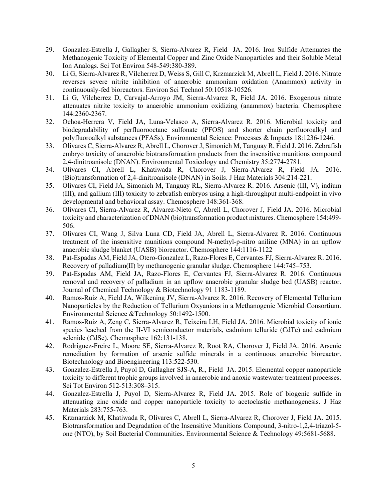- 29. Gonzalez-Estrella J, Gallagher S, Sierra-Alvarez R, Field JA. 2016. Iron Sulfide Attenuates the Methanogenic Toxicity of Elemental Copper and Zinc Oxide Nanoparticles and their Soluble Metal Ion Analogs. Sci Tot Environ 548-549:380-389.
- 30. Li G, Sierra-Alvarez R, Vilcherrez D, Weiss S, Gill C, Krzmarzick M, Abrell L, Field J. 2016. Nitrate reverses severe nitrite inhibition of anaerobic ammonium oxidation (Anammox) activity in continuously-fed bioreactors. Environ Sci Technol 50:10518-10526.
- 31. Li G, Vilcherrez D, Carvajal-Arroyo JM, Sierra-Alvarez R, Field JA. 2016. Exogenous nitrate attenuates nitrite toxicity to anaerobic ammonium oxidizing (anammox) bacteria. Chemosphere 144:2360-2367.
- 32. Ochoa-Herrera V, Field JA, Luna-Velasco A, Sierra-Alvarez R. 2016. Microbial toxicity and biodegradability of perfluorooctane sulfonate (PFOS) and shorter chain perfluoroalkyl and polyfluoroalkyl substances (PFASs). Environmental Science: Processes & Impacts 18:1236-1246.
- 33. Olivares C, Sierra-Alvarez R, Abrell L, Chorover J, Simonich M, Tanguay R, Field J. 2016. Zebrafish embryo toxicity of anaerobic biotransformation products from the insensitive munitions compound 2,4-dinitroanisole (DNAN). Environmental Toxicology and Chemistry 35:2774-2781.
- 34. Olivares CI, Abrell L, Khatiwada R, Chorover J, Sierra-Alvarez R, Field JA. 2016. (Bio)transformation of 2,4-dinitroanisole (DNAN) in Soils. J Haz Materials 304:214-221.
- 35. Olivares CI, Field JA, Simonich M, Tanguay RL, Sierra-Alvarez R. 2016. Arsenic (III, V), indium (III), and gallium (III) toxicity to zebrafish embryos using a high-throughput multi-endpoint in vivo developmental and behavioral assay. Chemosphere 148:361-368.
- 36. Olivares CI, Sierra-Alvarez R, Alvarez-Nieto C, Abrell L, Chorover J, Field JA. 2016. Microbial toxicity and characterization of DNAN (bio)transformation product mixtures. Chemosphere 154:499- 506.
- 37. Olivares CI, Wang J, Silva Luna CD, Field JA, Abrell L, Sierra-Alvarez R. 2016. Continuous treatment of the insensitive munitions compound N-methyl-p-nitro aniline (MNA) in an upflow anaerobic sludge blanket (UASB) bioreactor. Chemosphere 144:1116-1122
- 38. Pat-Espadas AM, Field JA, Otero-Gonzalez L, Razo-Flores E, Cervantes FJ, Sierra-Alvarez R. 2016. Recovery of palladium(II) by methanogenic granular sludge. Chemosphere 144:745–753.
- 39. Pat-Espadas AM, Field JA, Razo-Flores E, Cervantes FJ, Sierra-Alvarez R. 2016. Continuous removal and recovery of palladium in an upflow anaerobic granular sludge bed (UASB) reactor. Journal of Chemical Technology & Biotechnology 91 1183-1189.
- 40. Ramos-Ruiz A, Field JA, Wilkening JV, Sierra-Alvarez R. 2016. Recovery of Elemental Tellurium Nanoparticles by the Reduction of Tellurium Oxyanions in a Methanogenic Microbial Consortium. Environmental Science &Technology 50:1492-1500.
- 41. Ramos-Ruiz A, Zeng C, Sierra-Alvarez R, Teixeira LH, Field JA. 2016. Microbial toxicity of ionic species leached from the II-VI semiconductor materials, cadmium telluride (CdTe) and cadmium selenide (CdSe). Chemosphere 162:131-138.
- 42. Rodriguez-Freire L, Moore SE, Sierra-Alvarez R, Root RA, Chorover J, Field JA. 2016. Arsenic remediation by formation of arsenic sulfide minerals in a continuous anaerobic bioreactor. Biotechnology and Bioengineering 113:522-530.
- 43. Gonzalez-Estrella J, Puyol D, Gallagher SJS-A, R., Field JA. 2015. Elemental copper nanoparticle toxicity to different trophic groups involved in anaerobic and anoxic wastewater treatment processes. Sci Tot Environ 512-513:308–315.
- 44. Gonzalez-Estrella J, Puyol D, Sierra-Alvarez R, Field JA. 2015. Role of biogenic sulfide in attenuating zinc oxide and copper nanoparticle toxicity to acetoclastic methanogenesis. J Haz Materials 283:755-763.
- 45. Krzmarzick M, Khatiwada R, Olivares C, Abrell L, Sierra-Alvarez R, Chorover J, Field JA. 2015. Biotransformation and Degradation of the Insensitive Munitions Compound, 3-nitro-1,2,4-triazol-5 one (NTO), by Soil Bacterial Communities. Environmental Science & Technology 49:5681-5688.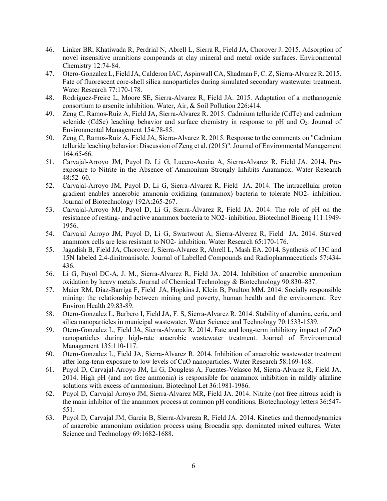- 46. Linker BR, Khatiwada R, Perdrial N, Abrell L, Sierra R, Field JA, Chorover J. 2015. Adsorption of novel insensitive munitions compounds at clay mineral and metal oxide surfaces. Environmental Chemistry 12:74-84.
- 47. Otero-Gonzalez L, Field JA, Calderon IAC, Aspinwall CA, Shadman F, C. Z, Sierra-Alvarez R. 2015. Fate of fluorescent core-shell silica nanoparticles during simulated secondary wastewater treatment. Water Research 77:170-178.
- 48. Rodriguez-Freire L, Moore SE, Sierra-Alvarez R, Field JA. 2015. Adaptation of a methanogenic consortium to arsenite inhibition. Water, Air, & Soil Pollution 226:414.
- 49. Zeng C, Ramos-Ruiz A, Field JA, Sierra-Alvarez R. 2015. Cadmium telluride (CdTe) and cadmium selenide (CdSe) leaching behavior and surface chemistry in response to pH and O<sub>2</sub>. Journal of Environmental Management 154:78-85.
- 50. Zeng C, Ramos-Ruiz A, Field JA, Sierra-Alvarez R. 2015. Response to the comments on "Cadmium telluride leaching behavior: Discussion of Zeng et al. (2015)". Journal of Environmental Management 164:65-66.
- 51. Carvajal-Arroyo JM, Puyol D, Li G, Lucero-Acuña A, Sierra-Alvarez R, Field JA. 2014. Preexposure to Nitrite in the Absence of Ammonium Strongly Inhibits Anammox. Water Research 48:52–60.
- 52. Carvajal-Arroyo JM, Puyol D, Li G, Sierra-Alvarez R, Field JA. 2014. The intracellular proton gradient enables anaerobic ammonia oxidizing (anammox) bacteria to tolerate NO2- inhibition. Journal of Biotechnology 192A:265-267.
- 53. Carvajal-Arroyo MJ, Puyol D, Li G, Sierra-Álvarez R, Field JA. 2014. The role of pH on the resistance of resting- and active anammox bacteria to NO2- inhibition. Biotechnol Bioeng 111:1949- 1956.
- 54. Carvajal Arroyo JM, Puyol D, Li G, Swartwout A, Sierra-Alverez R, Field JA. 2014. Starved anammox cells are less resistant to NO2- inhibition. Water Research 65:170-176.
- 55. Jagadish B, Field JA, Chorover J, Sierra-Alvarez R, Abrell L, Mash EA. 2014. Synthesis of 13C and 15N labeled 2,4-dinitroanisole. Journal of Labelled Compounds and Radiopharmaceuticals 57:434- 436.
- 56. Li G, Puyol DC-A, J. M., Sierra-Alvarez R, Field JA. 2014. Inhibition of anaerobic ammonium oxidation by heavy metals. Journal of Chemical Technology & Biotechnology 90:830–837.
- 57. Maier RM, Díaz-Barriga F, Field JA, Hopkins J, Klein B, Poulton MM. 2014. Socially responsible mining: the relationship between mining and poverty, human health and the environment. Rev Environ Health 29:83-89.
- 58. Otero-Gonzalez L, Barbero I, Field JA, F. S, Sierra-Alvarez R. 2014. Stability of alumina, ceria, and silica nanoparticles in municipal wastewater. Water Science and Technology 70:1533-1539.
- 59. Otero-Gonzalez L, Field JA, Sierra-Alvarez R. 2014. Fate and long-term inhibitory impact of ZnO nanoparticles during high-rate anaerobic wastewater treatment. Journal of Environmental Management 135:110-117.
- 60. Otero-Gonzalez L, Field JA, Sierra-Alvarez R. 2014. Inhibition of anaerobic wastewater treatment after long-term exposure to low levels of CuO nanoparticles. Water Research 58:169-168.
- 61. Puyol D, Carvajal-Arroyo JM, Li G, Dougless A, Fuentes-Velasco M, Sierra-Alvarez R, Field JA. 2014. High pH (and not free ammonia) is responsible for anammox inhibition in mildly alkaline solutions with excess of ammonium. Biotechnol Let 36:1981-1986.
- 62. Puyol D, Carvajal Arroyo JM, Sierra-Alvarez MR, Field JA. 2014. Nitrite (not free nitrous acid) is the main inhibitor of the anammox process at common pH conditions. Biotechnology letters 36:547- 551.
- 63. Puyol D, Carvajal JM, Garcia B, Sierra-Alvareza R, Field JA. 2014. Kinetics and thermodynamics of anaerobic ammonium oxidation process using Brocadia spp. dominated mixed cultures. Water Science and Technology 69:1682-1688.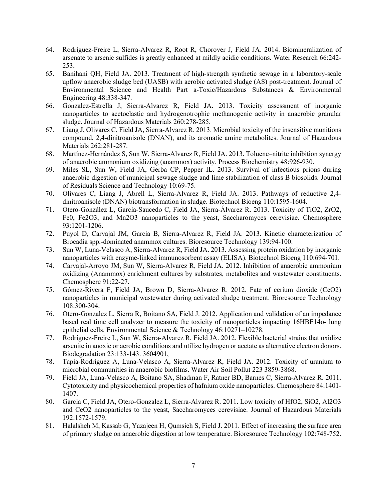- 64. Rodriguez-Freire L, Sierra-Alvarez R, Root R, Chorover J, Field JA. 2014. Biomineralization of arsenate to arsenic sulfides is greatly enhanced at mildly acidic conditions. Water Research 66:242- 253.
- 65. Banihani QH, Field JA. 2013. Treatment of high-strength synthetic sewage in a laboratory-scale upflow anaerobic sludge bed (UASB) with aerobic activated sludge (AS) post-treatment. Journal of Environmental Science and Health Part a-Toxic/Hazardous Substances & Environmental Engineering 48:338-347.
- 66. Gonzalez-Estrella J, Sierra-Alvarez R, Field JA. 2013. Toxicity assessment of inorganic nanoparticles to acetoclastic and hydrogenotrophic methanogenic activity in anaerobic granular sludge. Journal of Hazardous Materials 260:278-285.
- 67. Liang J, Olivares C, Field JA, Sierra-Alvarez R. 2013. Microbial toxicity of the insensitive munitions compound, 2,4-dinitroanisole (DNAN), and its aromatic amine metabolites. Journal of Hazardous Materials 262:281-287.
- 68. Martínez-Hernández S, Sun W, Sierra-Alvarez R, Field JA. 2013. Toluene–nitrite inhibition synergy of anaerobic ammonium oxidizing (anammox) activity. Process Biochemistry 48:926-930.
- 69. Miles SL, Sun W, Field JA, Gerba CP, Pepper IL. 2013. Survival of infectious prions during anaerobic digestion of municipal sewage sludge and lime stabilization of class B biosolids. Journal of Residuals Science and Technology 10:69-75.
- 70. Olivares C, Liang J, Abrell L, Sierra-Alvarez R, Field JA. 2013. Pathways of reductive 2,4 dinitroanisole (DNAN) biotransformation in sludge. Biotechnol Bioeng 110:1595-1604.
- 71. Otero-González L, García-Saucedo C, Field JA, Sierra-Álvarez R. 2013. Toxicity of TiO2, ZrO2, Fe0, Fe2O3, and Mn2O3 nanoparticles to the yeast, Saccharomyces cerevisiae. Chemosphere 93:1201-1206.
- 72. Puyol D, Carvajal JM, Garcia B, Sierra-Alvarez R, Field JA. 2013. Kinetic characterization of Brocadia spp.-dominated anammox cultures. Bioresource Technology 139:94-100.
- 73. Sun W, Luna-Velasco A, Sierra-Alvarez R, Field JA. 2013. Assessing protein oxidation by inorganic nanoparticles with enzyme-linked immunosorbent assay (ELISA). Biotechnol Bioeng 110:694-701.
- 74. Carvajal-Arroyo JM, Sun W, Sierra-Alvarez R, Field JA. 2012. Inhibition of anaerobic ammonium oxidizing (Anammox) enrichment cultures by substrates, metabolites and wastewater constituents. Chemosphere 91:22-27.
- 75. Gómez-Rivera F, Field JA, Brown D, Sierra-Alvarez R. 2012. Fate of cerium dioxide (CeO2) nanoparticles in municipal wastewater during activated sludge treatment. Bioresource Technology 108:300-304.
- 76. Otero-Gonzalez L, Sierra R, Boitano SA, Field J. 2012. Application and validation of an impedance based real time cell analyzer to measure the toxicity of nanoparticles impacting 16HBE14o- lung epithelial cells. Environmental Science & Technology 46:10271–10278.
- 77. Rodriguez-Freire L, Sun W, Sierra-Alvarez R, Field JA. 2012. Flexible bacterial strains that oxidize arsenite in anoxic or aerobic conditions and utilize hydrogen or acetate as alternative electron donors. Biodegradation 23:133-143. 3604901,
- 78. Tapia-Rodriguez A, Luna-Velasco A, Sierra-Alvarez R, Field JA. 2012. Toxicity of uranium to microbial communities in anaerobic biofilms. Water Air Soil Pollut 223 3859-3868.
- 79. Field JA, Luna-Velasco A, Boitano SA, Shadman F, Ratner BD, Barnes C, Sierra-Alvarez R. 2011. Cytotoxicity and physicochemical properties of hafnium oxide nanoparticles. Chemosphere 84:1401- 1407.
- 80. Garcia C, Field JA, Otero-Gonzalez L, Sierra-Alvarez R. 2011. Low toxicity of HfO2, SiO2, Al2O3 and CeO2 nanoparticles to the yeast, Saccharomyces cerevisiae. Journal of Hazardous Materials 192:1572-1579.
- 81. Halalsheh M, Kassab G, Yazajeen H, Qumsieh S, Field J. 2011. Effect of increasing the surface area of primary sludge on anaerobic digestion at low temperature. Bioresource Technology 102:748-752.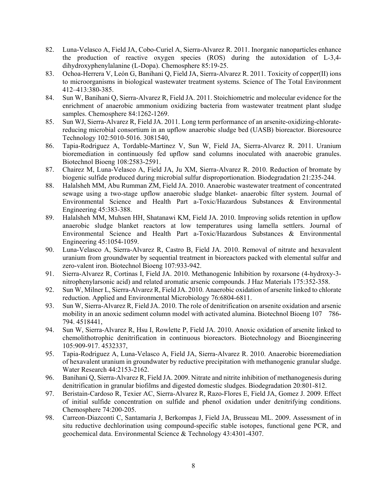- 82. Luna-Velasco A, Field JA, Cobo-Curiel A, Sierra-Alvarez R. 2011. Inorganic nanoparticles enhance the production of reactive oxygen species (ROS) during the autoxidation of L-3,4 dihydroxyphenylalanine (L-Dopa). Chemosphere 85:19-25.
- 83. Ochoa-Herrera V, León G, Banihani Q, Field JA, Sierra-Alvarez R. 2011. Toxicity of copper(II) ions to microorganisms in biological wastewater treatment systems. Science of The Total Environment 412–413:380-385.
- 84. Sun W, Banihani Q, Sierra-Alvarez R, Field JA. 2011. Stoichiometric and molecular evidence for the enrichment of anaerobic ammonium oxidizing bacteria from wastewater treatment plant sludge samples. Chemosphere 84:1262-1269.
- 85. Sun WJ, Sierra-Alvarez R, Field JA. 2011. Long term performance of an arsenite-oxidizing-chloratereducing microbial consortium in an upflow anaerobic sludge bed (UASB) bioreactor. Bioresource Technology 102:5010-5016. 3081540,
- 86. Tapia-Rodriguez A, Tordable-Martinez V, Sun W, Field JA, Sierra-Alvarez R. 2011. Uranium bioremediation in continuously fed upflow sand columns inoculated with anaerobic granules. Biotechnol Bioeng 108:2583-2591.
- 87. Chairez M, Luna-Velasco A, Field JA, Ju XM, Sierra-Alvarez R. 2010. Reduction of bromate by biogenic sulfide produced during microbial sulfur disproportionation. Biodegradation 21:235-244.
- 88. Halalsheh MM, Abu Rumman ZM, Field JA. 2010. Anaerobic wastewater treatment of concentrated sewage using a two-stage upflow anaerobic sludge blanket- anaerobic filter system. Journal of Environmental Science and Health Part a-Toxic/Hazardous Substances & Environmental Engineering 45:383-388.
- 89. Halalsheh MM, Muhsen HH, Shatanawi KM, Field JA. 2010. Improving solids retention in upflow anaerobic sludge blanket reactors at low temperatures using lamella settlers. Journal of Environmental Science and Health Part a-Toxic/Hazardous Substances & Environmental Engineering 45:1054-1059.
- 90. Luna-Velasco A, Sierra-Alvarez R, Castro B, Field JA. 2010. Removal of nitrate and hexavalent uranium from groundwater by sequential treatment in bioreactors packed with elemental sulfur and zero-valent iron. Biotechnol Bioeng 107:933-942.
- 91. Sierra-Alvarez R, Cortinas I, Field JA. 2010. Methanogenic Inhibition by roxarsone (4-hydroxy-3 nitrophenylarsonic acid) and related aromatic arsenic compounds. J Haz Materials 175:352-358.
- 92. Sun W, Milner L, Sierra-Alvarez R, Field JA. 2010. Anaerobic oxidation of arsenite linked to chlorate reduction. Applied and Environmental Microbiology 76:6804-6811.
- 93. Sun W, Sierra-Alvarez R, Field JA. 2010. The role of denitrification on arsenite oxidation and arsenic mobility in an anoxic sediment column model with activated alumina. Biotechnol Bioeng 107 786- 794. 4518441,
- 94. Sun W, Sierra-Alvarez R, Hsu I, Rowlette P, Field JA. 2010. Anoxic oxidation of arsenite linked to chemolithotrophic denitrification in continuous bioreactors. Biotechnology and Bioengineering 105:909-917. 4532337,
- 95. Tapia-Rodriguez A, Luna-Velasco A, Field JA, Sierra-Alvarez R. 2010. Anaerobic bioremediation of hexavalent uranium in groundwater by reductive precipitation with methanogenic granular sludge. Water Research 44:2153-2162.
- 96. Banihani Q, Sierra-Alvarez R, Field JA. 2009. Nitrate and nitrite inhibition of methanogenesis during denitrification in granular biofilms and digested domestic sludges. Biodegradation 20:801-812.
- 97. Beristain-Cardoso R, Texier AC, Sierra-Alvarez R, Razo-Flores E, Field JA, Gomez J. 2009. Effect of initial sulfide concentration on sulfide and phenol oxidation under denitrifying conditions. Chemosphere 74:200-205.
- 98. Carreon-Diazconti C, Santamaria J, Berkompas J, Field JA, Brusseau ML. 2009. Assessment of in situ reductive dechlorination using compound-specific stable isotopes, functional gene PCR, and geochemical data. Environmental Science & Technology 43:4301-4307.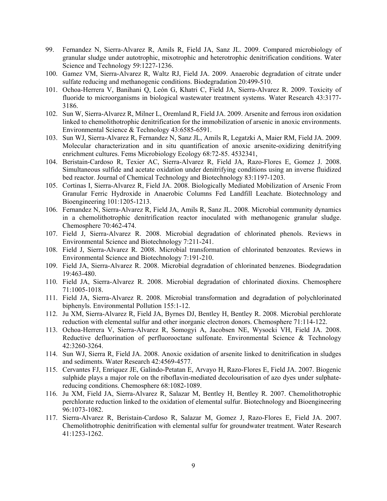- 99. Fernandez N, Sierra-Alvarez R, Amils R, Field JA, Sanz JL. 2009. Compared microbiology of granular sludge under autotrophic, mixotrophic and heterotrophic denitrification conditions. Water Science and Technology 59:1227-1236.
- 100. Gamez VM, Sierra-Alvarez R, Waltz RJ, Field JA. 2009. Anaerobic degradation of citrate under sulfate reducing and methanogenic conditions. Biodegradation 20:499-510.
- 101. Ochoa-Herrera V, Banihani Q, León G, Khatri C, Field JA, Sierra-Alvarez R. 2009. Toxicity of fluoride to microorganisms in biological wastewater treatment systems. Water Research 43:3177- 3186.
- 102. Sun W, Sierra-Alvarez R, Milner L, Oremland R, Field JA. 2009. Arsenite and ferrous iron oxidation linked to chemolithotrophic denitrification for the immobilization of arsenic in anoxic environments. Environmental Science & Technology 43:6585-6591.
- 103. Sun WJ, Sierra-Alvarez R, Fernandez N, Sanz JL, Amils R, Legatzki A, Maier RM, Field JA. 2009. Molecular characterization and in situ quantification of anoxic arsenite-oxidizing denitrifying enrichment cultures. Fems Microbiology Ecology 68:72-85. 4532341,
- 104. Beristain-Cardoso R, Texier AC, Sierra-Alvarez R, Field JA, Razo-Flores E, Gomez J. 2008. Simultaneous sulfide and acetate oxidation under denitrifying conditions using an inverse fluidized bed reactor. Journal of Chemical Technology and Biotechnology 83:1197-1203.
- 105. Cortinas I, Sierra-Alvarez R, Field JA. 2008. Biologically Mediated Mobilization of Arsenic From Granular Ferric Hydroxide in Anaerobic Columns Fed Landfill Leachate. Biotechnology and Bioengineering 101:1205-1213.
- 106. Fernandez N, Sierra-Alvarez R, Field JA, Amils R, Sanz JL. 2008. Microbial community dynamics in a chemolithotrophic denitrification reactor inoculated with methanogenic granular sludge. Chemosphere 70:462-474.
- 107. Field J, Sierra-Alvarez R. 2008. Microbial degradation of chlorinated phenols. Reviews in Environmental Science and Biotechnology 7:211-241.
- 108. Field J, Sierra-Alvarez R. 2008. Microbial transformation of chlorinated benzoates. Reviews in Environmental Science and Biotechnology 7:191-210.
- 109. Field JA, Sierra-Alvarez R. 2008. Microbial degradation of chlorinated benzenes. Biodegradation 19:463-480.
- 110. Field JA, Sierra-Alvarez R. 2008. Microbial degradation of chlorinated dioxins. Chemosphere 71:1005-1018.
- 111. Field JA, Sierra-Alvarez R. 2008. Microbial transformation and degradation of polychlorinated biphenyls. Environmental Pollution 155:1-12.
- 112. Ju XM, Sierra-Alvarez R, Field JA, Byrnes DJ, Bentley H, Bentley R. 2008. Microbial perchlorate reduction with elemental sulfur and other inorganic electron donors. Chemosphere 71:114-122.
- 113. Ochoa-Herrera V, Sierra-Alvarez R, Somogyi A, Jacobsen NE, Wysocki VH, Field JA. 2008. Reductive defluorination of perfluorooctane sulfonate. Environmental Science & Technology 42:3260-3264.
- 114. Sun WJ, Sierra R, Field JA. 2008. Anoxic oxidation of arsenite linked to denitrification in sludges and sediments. Water Research 42:4569-4577.
- 115. Cervantes FJ, Enriquez JE, Galindo-Petatan E, Arvayo H, Razo-Flores E, Field JA. 2007. Biogenic sulphide plays a major role on the riboflavin-mediated decolourisation of azo dyes under sulphatereducing conditions. Chemosphere 68:1082-1089.
- 116. Ju XM, Field JA, Sierra-Alvarez R, Salazar M, Bentley H, Bentley R. 2007. Chemolithotrophic perchlorate reduction linked to the oxidation of elemental sulfur. Biotechnology and Bioengineering 96:1073-1082.
- 117. Sierra-Alvarez R, Beristain-Cardoso R, Salazar M, Gomez J, Razo-Flores E, Field JA. 2007. Chemolithotrophic denitrification with elemental sulfur for groundwater treatment. Water Research 41:1253-1262.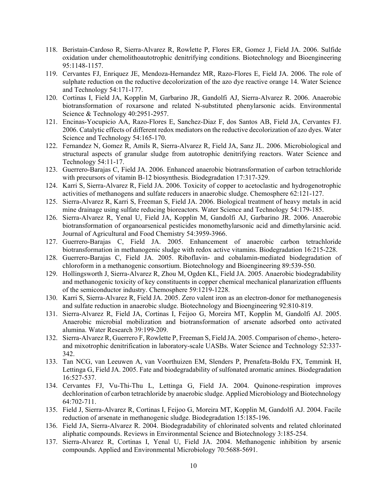- 118. Beristain-Cardoso R, Sierra-Alvarez R, Rowlette P, Flores ER, Gomez J, Field JA. 2006. Sulfide oxidation under chemolithoautotrophic denitrifying conditions. Biotechnology and Bioengineering 95:1148-1157.
- 119. Cervantes FJ, Enriquez JE, Mendoza-Hernandez MR, Razo-Flores E, Field JA. 2006. The role of sulphate reduction on the reductive decolorization of the azo dye reactive orange 14. Water Science and Technology 54:171-177.
- 120. Cortinas I, Field JA, Kopplin M, Garbarino JR, Gandolfi AJ, Sierra-Alvarez R. 2006. Anaerobic biotransformation of roxarsone and related N-substituted phenylarsonic acids. Environmental Science & Technology 40:2951-2957.
- 121. Encinas-Yocupicio AA, Razo-Flores E, Sanchez-Diaz F, dos Santos AB, Field JA, Cervantes FJ. 2006. Catalytic effects of different redox mediators on the reductive decolorization of azo dyes. Water Science and Technology 54:165-170.
- 122. Fernandez N, Gomez R, Amils R, Sierra-Alvarez R, Field JA, Sanz JL. 2006. Microbiological and structural aspects of granular sludge from autotrophic denitrifying reactors. Water Science and Technology 54:11-17.
- 123. Guerrero-Barajas C, Field JA. 2006. Enhanced anaerobic biotransformation of carbon tetrachloride with precursors of vitamin B-12 biosynthesis. Biodegradation 17:317-329.
- 124. Karri S, Sierra-Alvarez R, Field JA. 2006. Toxicity of copper to acetoclastic and hydrogenotrophic activities of methanogens and sulfate reducers in anaerobic sludge. Chemosphere 62:121-127.
- 125. Sierra-Alvarez R, Karri S, Freeman S, Field JA. 2006. Biological treatment of heavy metals in acid mine drainage using sulfate reducing bioreactors. Water Science and Technology 54:179-185.
- 126. Sierra-Alvarez R, Yenal U, Field JA, Kopplin M, Gandolfi AJ, Garbarino JR. 2006. Anaerobic biotransformation of organoarsenical pesticides monomethylarsonic acid and dimethylarsinic acid. Journal of Agricultural and Food Chemistry 54:3959-3966.
- 127. Guerrero-Barajas C, Field JA. 2005. Enhancement of anaerobic carbon tetrachloride biotransformation in methanogenic sludge with redox active vitamins. Biodegradation 16:215-228.
- 128. Guerrero-Barajas C, Field JA. 2005. Riboflavin- and cobalamin-mediated biodegradation of chloroform in a methanogenic consortium. Biotechnology and Bioengineering 89:539-550.
- 129. Hollingsworth J, Sierra-Alvarez R, Zhou M, Ogden KL, Field JA. 2005. Anaerobic biodegradability and methanogenic toxicity of key constituents in copper chemical mechanical planarization effluents of the semiconductor industry. Chemosphere 59:1219-1228.
- 130. Karri S, Sierra-Alvarez R, Field JA. 2005. Zero valent iron as an electron-donor for methanogenesis and sulfate reduction in anaerobic sludge. Biotechnology and Bioengineering 92:810-819.
- 131. Sierra-Alvarez R, Field JA, Cortinas I, Feijoo G, Moreira MT, Kopplin M, Gandolfi AJ. 2005. Anaerobic microbial mobilization and biotransformation of arsenate adsorbed onto activated alumina. Water Research 39:199-209.
- 132. Sierra-Alvarez R, Guerrero F, Rowlette P, Freeman S, Field JA. 2005. Comparison of chemo-, heteroand mixotrophic denitrification in laboratory-scale UASBs. Water Science and Technology 52:337- 342.
- 133. Tan NCG, van Leeuwen A, van Voorthuizen EM, Slenders P, Prenafeta-Boldu FX, Temmink H, Lettinga G, Field JA. 2005. Fate and biodegradability of sulfonated aromatic amines. Biodegradation 16:527-537.
- 134. Cervantes FJ, Vu-Thi-Thu L, Lettinga G, Field JA. 2004. Quinone-respiration improves dechlorination of carbon tetrachloride by anaerobic sludge. Applied Microbiology and Biotechnology 64:702-711.
- 135. Field J, Sierra-Alvarez R, Cortinas I, Feijoo G, Moreira MT, Kopplin M, Gandolfi AJ. 2004. Facile reduction of arsenate in methanogenic sludge. Biodegradation 15:185-196.
- 136. Field JA, Sierra-Alvarez R. 2004. Biodegradability of chlorinated solvents and related chlorinated aliphatic compounds. Reviews in Environmental Science and Biotechnology 3:185-254.
- 137. Sierra-Alvarez R, Cortinas I, Yenal U, Field JA. 2004. Methanogenic inhibition by arsenic compounds. Applied and Environmental Microbiology 70:5688-5691.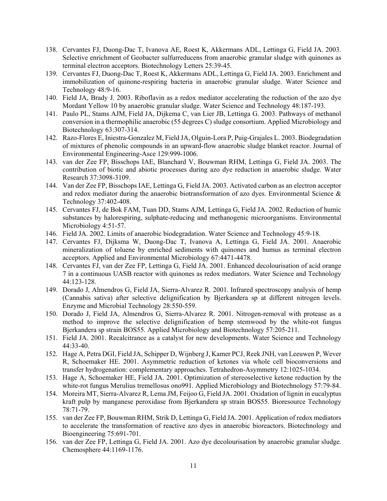- 138. Cervantes FJ, Duong-Dac T, Ivanova AE, Roest K, Akkermans ADL, Lettinga G, Field JA. 2003. Selective enrichment of Geobacter sulfurreducens from anaerobic granular sludge with quinones as terminal electron acceptors. Biotechnology Letters 25:39-45.
- 139. Cervantes FJ, Duong-Dac T, Roest K, Akkermans ADL, Lettinga G, Field JA. 2003. Enrichment and immobilization of quinone-respiring bacteria in anaerobic granular sludge. Water Science and Technology 48:9-16.
- 140. Field JA, Brady J. 2003. Riboflavin as a redox mediator accelerating the reduction of the azo dye Mordant Yellow 10 by anaerobic granular sludge. Water Science and Technology 48:187-193.
- 141. Paulo PL, Stams AJM, Field JA, Dijkema C, van Lier JB, Lettinga G. 2003. Pathways of methanol conversion in a thermophilic anaerobic (55 degrees C) sludge consortium. Applied Microbiology and Biotechnology 63:307-314.
- 142. Razo-Flores E, Iniestra-Gonzalez M, Field JA, Olguin-Lora P, Puig-Grajales L. 2003. Biodegradation of mixtures of phenolic compounds in an upward-flow anaerobic sludge blanket reactor. Journal of Environmental Engineering-Asce 129:999-1006.
- 143. van der Zee FP, Bisschops IAE, Blanchard V, Bouwman RHM, Lettinga G, Field JA. 2003. The contribution of biotic and abiotic processes during azo dye reduction in anaerobic sludge. Water Research 37:3098-3109.
- 144. Van der Zee FP, Bisschops IAE, Lettinga G, Field JA. 2003. Activated carbon as an electron acceptor and redox mediator during the anaerobic biotransformation of azo dyes. Environmental Science & Technology 37:402-408.
- 145. Cervantes FJ, de Bok FAM, Tuan DD, Stams AJM, Lettinga G, Field JA. 2002. Reduction of humic substances by halorespiring, sulphate-reducing and methanogenic microorganisms. Environmental Microbiology 4:51-57.
- 146. Field JA. 2002. Limits of anaerobic biodegradation. Water Science and Technology 45:9-18.
- 147. Cervantes FJ, Dijksma W, Duong-Dac T, Ivanova A, Lettinga G, Field JA. 2001. Anaerobic mineralization of toluene by enriched sediments with quinones and humus as terminal electron acceptors. Applied and Environmental Microbiology 67:4471-4478.
- 148. Cervantes FJ, van der Zee FP, Lettinga G, Field JA. 2001. Enhanced decolourisation of acid orange 7 in a continuous UASB reactor with quinones as redox mediators. Water Science and Technology 44:123-128.
- 149. Dorado J, Almendros G, Field JA, Sierra-Alvarez R. 2001. Infrared spectroscopy analysis of hemp (Cannabis sativa) after selective delignification by Bjerkandera sp at different nitrogen levels. Enzyme and Microbial Technology 28:550-559.
- 150. Dorado J, Field JA, Almendros G, Sierra-Alvarez R. 2001. Nitrogen-removal with protease as a method to improve the selective delignification of hemp stemwood by the white-rot fungus Bjerkandera sp strain BOS55. Applied Microbiology and Biotechnology 57:205-211.
- 151. Field JA. 2001. Recalcitrance as a catalyst for new developments. Water Science and Technology 44:33-40.
- 152. Hage A, Petra DGI, Field JA, Schipper D, Wijnberg J, Kamer PCJ, Reek JNH, van Leeuwen P, Wever R, Schoemaker HE. 2001. Asymmetric reduction of ketones via whole cell bioconversions and transfer hydrogenation: complementary approaches. Tetrahedron-Asymmetry 12:1025-1034.
- 153. Hage A, Schoemaker HE, Field JA. 2001. Optimization of stereoselective ketone reduction by the white-rot fungus Merulius tremellosus ono991. Applied Microbiology and Biotechnology 57:79-84.
- 154. Moreira MT, Sierra-Alvarez R, Lema JM, Feijoo G, Field JA. 2001. Oxidation of lignin in eucalyptus kraft pulp by manganese peroxidase from Bjerkandera sp strain BOS55. Bioresource Technology 78:71-79.
- 155. van der Zee FP, Bouwman RHM, Strik D, Lettinga G, Field JA. 2001. Application of redox mediators to accelerate the transformation of reactive azo dyes in anaerobic bioreactors. Biotechnology and Bioengineering 75:691-701.
- 156. van der Zee FP, Lettinga G, Field JA. 2001. Azo dye decolourisation by anaerobic granular sludge. Chemosphere 44:1169-1176.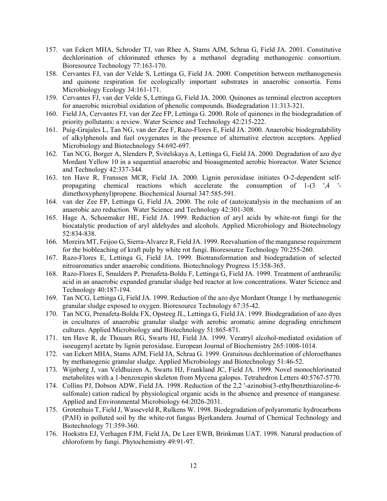- 157. van Eekert MHA, Schroder TJ, van Rhee A, Stams AJM, Schraa G, Field JA. 2001. Constitutive dechlorination of chlorinated ethenes by a methanol degrading methanogenic consortium. Bioresource Technology 77:163-170.
- 158. Cervantes FJ, van der Velde S, Lettinga G, Field JA. 2000. Competition between methanogenesis and quinone respiration for ecologically important substrates in anaerobic consortia. Fems Microbiology Ecology 34:161-171.
- 159. Cervantes FJ, van der Velde S, Lettinga G, Field JA. 2000. Quinones as terminal electron acceptors for anaerobic microbial oxidation of phenolic compounds. Biodegradation 11:313-321.
- 160. Field JA, Cervantes FJ, van der Zee FP, Lettinga G. 2000. Role of quinones in the biodegradation of priority pollutants: a review. Water Science and Technology 42:215-222.
- 161. Puig-Grajales L, Tan NG, van der Zee F, Razo-Flores E, Field JA. 2000. Anaerobic biodegradability of alkylphenols and fuel oxygenates in the presence of alternative electron acceptors. Applied Microbiology and Biotechnology 54:692-697.
- 162. Tan NCG, Borger A, Slenders P, Svitelskaya A, Lettinga G, Field JA. 2000. Degradation of azo dye Mordant Yellow 10 in a sequential anaerobic and bioaugmented aerobic bioreactor. Water Science and Technology 42:337-344.
- 163. ten Have R, Franssen MCR, Field JA. 2000. Lignin peroxidase initiates O-2-dependent selfpropagating chemical reactions which accelerate the consumption of 1-(3 ',4 ' dimethoxyphenyl)propene. Biochemical Journal 347:585-591.
- 164. van der Zee FP, Lettinga G, Field JA. 2000. The role of (auto)catalysis in the mechanism of an anaerobic azo reduction. Water Science and Technology 42:301-308.
- 165. Hage A, Schoemaker HE, Field JA. 1999. Reduction of aryl acids by white-rot fungi for the biocatalytic production of aryl aldehydes and alcohols. Applied Microbiology and Biotechnology 52:834-838.
- 166. Moreira MT, Feijoo G, Sierra-Alvarez R, Field JA. 1999. Reevaluation of the manganese requirement for the biobleaching of kraft pulp by white rot fungi. Bioresource Technology 70:255-260.
- 167. Razo-Flores E, Lettinga G, Field JA. 1999. Biotransformation and biodegradation of selected nitroaromatics under anaerobic conditions. Biotechnology Progress 15:358-365.
- 168. Razo-Flores E, Smulders P, Prenafeta-Boldu F, Lettinga G, Field JA. 1999. Treatment of anthranilic acid in an anaerobic expanded granular sludge bed reactor at low concentrations. Water Science and Technology 40:187-194.
- 169. Tan NCG, Lettinga G, Field JA. 1999. Reduction of the azo dye Mordant Orange 1 by methanogenic granular sludge exposed to oxygen. Bioresource Technology 67:35-42.
- 170. Tan NCG, Prenafeta-Boldu FX, Opsteeg JL, Lettinga G, Field JA. 1999. Biodegradation of azo dyes in cocultures of anaerobic granular sludge with aerobic aromatic amine degrading enrichment cultures. Applied Microbiology and Biotechnology 51:865-871.
- 171. ten Have R, de Thouars RG, Swarts HJ, Field JA. 1999. Veratryl alcohol-mediated oxidation of isoeugenyl acetate by lignin peroxidase. European Journal of Biochemistry 265:1008-1014.
- 172. van Eekert MHA, Stams AJM, Field JA, Schraa G. 1999. Gratuitous dechlorination of chloroethanes by methanogenic granular sludge. Applied Microbiology and Biotechnology 51:46-52.
- 173. Wijnberg J, van Veldhuizen A, Swarts HJ, Frankland JC, Field JA. 1999. Novel monochlorinated metabolites with a 1-benzoxepin skeleton from Mycena galopus. Tetrahedron Letters 40:5767-5770.
- 174. Collins PJ, Dobson ADW, Field JA. 1998. Reduction of the 2,2 '-azinobis(3-ethylbenzthiazoline-6 sulfonale) cation radical by physiological organic acids in the absence and presence of manganese. Applied and Environmental Microbiology 64:2026-2031.
- 175. Grotenhuis T, Field J, Wasseveld R, Rulkens W. 1998. Biodegradation of polyaromatic hydrocarbons (PAH) in polluted soil by the white-rot fungus Bjerkandera. Journal of Chemical Technology and Biotechnology 71:359-360.
- 176. Hoekstra EJ, Verhagen FJM, Field JA, De Leer EWB, Brinkman UAT. 1998. Natural production of chloroform by fungi. Phytochemistry 49:91-97.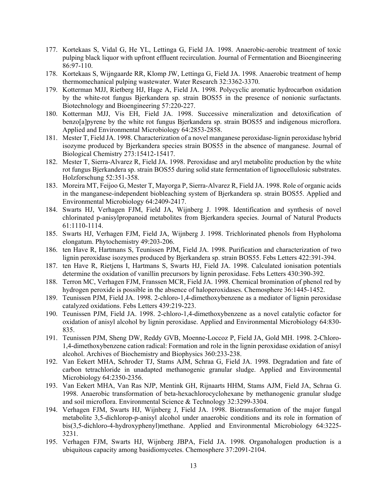- 177. Kortekaas S, Vidal G, He YL, Lettinga G, Field JA. 1998. Anaerobic-aerobic treatment of toxic pulping black liquor with upfront effluent recirculation. Journal of Fermentation and Bioengineering 86:97-110.
- 178. Kortekaas S, Wijngaarde RR, Klomp JW, Lettinga G, Field JA. 1998. Anaerobic treatment of hemp thermomechanical pulping wastewater. Water Research 32:3362-3370.
- 179. Kotterman MJJ, Rietberg HJ, Hage A, Field JA. 1998. Polycyclic aromatic hydrocarbon oxidation by the white-rot fungus Bjerkandera sp. strain BOS55 in the presence of nonionic surfactants. Biotechnology and Bioengineering 57:220-227.
- 180. Kotterman MJJ, Vis EH, Field JA. 1998. Successive mineralization and detoxification of benzo[a]pyrene by the white rot fungus Bjerkandera sp. strain BOS55 and indigenous microflora. Applied and Environmental Microbiology 64:2853-2858.
- 181. Mester T, Field JA. 1998. Characterization of a novel manganese peroxidase-lignin peroxidase hybrid isozyme produced by Bjerkandera species strain BOS55 in the absence of manganese. Journal of Biological Chemistry 273:15412-15417.
- 182. Mester T, Sierra-Alvarez R, Field JA. 1998. Peroxidase and aryl metabolite production by the white rot fungus Bjerkandera sp. strain BOS55 during solid state fermentation of lignocellulosic substrates. Holzforschung 52:351-358.
- 183. Moreira MT, Feijoo G, Mester T, Mayorga P, Sierra-Alvarez R, Field JA. 1998. Role of organic acids in the manganese-independent biobleaching system of Bjerkandera sp. strain BOS55. Applied and Environmental Microbiology 64:2409-2417.
- 184. Swarts HJ, Verhagen FJM, Field JA, Wijnberg J. 1998. Identification and synthesis of novel chlorinated p-anisylpropanoid metabolites from Bjerkandera species. Journal of Natural Products 61:1110-1114.
- 185. Swarts HJ, Verhagen FJM, Field JA, Wijnberg J. 1998. Trichlorinated phenols from Hypholoma elongatum. Phytochemistry 49:203-206.
- 186. ten Have R, Hartmans S, Teunissen PJM, Field JA. 1998. Purification and characterization of two lignin peroxidase isozymes produced by Bjerkandera sp. strain BOS55. Febs Letters 422:391-394.
- 187. ten Have R, Rietjens I, Hartmans S, Swarts HJ, Field JA. 1998. Calculated ionisation potentials determine the oxidation of vanillin precursors by lignin peroxidase. Febs Letters 430:390-392.
- 188. Terron MC, Verhagen FJM, Franssen MCR, Field JA. 1998. Chemical bromination of phenol red by hydrogen peroxide is possible in the absence of haloperoxidases. Chemosphere 36:1445-1452.
- 189. Teunissen PJM, Field JA. 1998. 2-chloro-1,4-dimethoxybenzene as a mediator of lignin peroxidase catalyzed oxidations. Febs Letters 439:219-223.
- 190. Teunissen PJM, Field JA. 1998. 2-chloro-1,4-dimethoxybenzene as a novel catalytic cofactor for oxidation of anisyl alcohol by lignin peroxidase. Applied and Environmental Microbiology 64:830- 835.
- 191. Teunissen PJM, Sheng DW, Reddy GVB, Moenne-Loccoz P, Field JA, Gold MH. 1998. 2-Chloro-1,4-dimethoxybenzene cation radical: Formation and role in the lignin peroxidase oxidation of anisyl alcohol. Archives of Biochemistry and Biophysics 360:233-238.
- 192. Van Eekert MHA, Schroder TJ, Stams AJM, Schraa G, Field JA. 1998. Degradation and fate of carbon tetrachloride in unadapted methanogenic granular sludge. Applied and Environmental Microbiology 64:2350-2356.
- 193. Van Eekert MHA, Van Ras NJP, Mentink GH, Rijnaarts HHM, Stams AJM, Field JA, Schraa G. 1998. Anaerobic transformation of beta-hexachlorocyclohexane by methanogenic granular sludge and soil microflora. Environmental Science & Technology 32:3299-3304.
- 194. Verhagen FJM, Swarts HJ, Wijnberg J, Field JA. 1998. Biotransformation of the major fungal metabolite 3,5-dichlorop-p-anisyl alcohol under anaerobic conditions and its role in formation of bis(3,5-dichloro-4-hydroxyphenyl)methane. Applied and Environmental Microbiology 64:3225- 3231.
- 195. Verhagen FJM, Swarts HJ, Wijnberg JBPA, Field JA. 1998. Organohalogen production is a ubiquitous capacity among basidiomycetes. Chemosphere 37:2091-2104.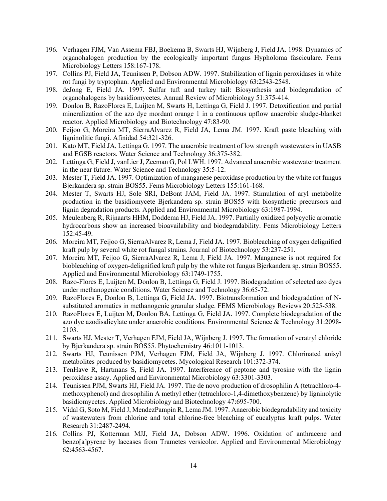- 196. Verhagen FJM, Van Assema FBJ, Boekema B, Swarts HJ, Wijnberg J, Field JA. 1998. Dynamics of organohalogen production by the ecologically important fungus Hypholoma fasciculare. Fems Microbiology Letters 158:167-178.
- 197. Collins PJ, Field JA, Teunissen P, Dobson ADW. 1997. Stabilization of lignin peroxidases in white rot fungi by tryptophan. Applied and Environmental Microbiology 63:2543-2548.
- 198. deJong E, Field JA. 1997. Sulfur tuft and turkey tail: Biosynthesis and biodegradation of organohalogens by basidiomycetes. Annual Review of Microbiology 51:375-414.
- 199. Donlon B, RazoFlores E, Luijten M, Swarts H, Lettinga G, Field J. 1997. Detoxification and partial mineralization of the azo dye mordant orange 1 in a continuous upflow anaerobic sludge-blanket reactor. Applied Microbiology and Biotechnology 47:83-90.
- 200. Feijoo G, Moreira MT, SierraAlvarez R, Field JA, Lema JM. 1997. Kraft paste bleaching with ligninolitic fungi. Afinidad 54:321-326.
- 201. Kato MT, Field JA, Lettinga G. 1997. The anaerobic treatment of low strength wastewaters in UASB and EGSB reactors. Water Science and Technology 36:375-382.
- 202. Lettinga G, Field J, vanLier J, Zeeman G, Pol LWH. 1997. Advanced anaerobic wastewater treatment in the near future. Water Science and Technology 35:5-12.
- 203. Mester T, Field JA. 1997. Optimization of manganese peroxidase production by the white rot fungus Bjerkandera sp. strain BOS55. Fems Microbiology Letters 155:161-168.
- 204. Mester T, Swarts HJ, Sole SRI, DeBont JAM, Field JA. 1997. Stimulation of aryl metabolite production in the basidiomycete Bjerkandera sp. strain BOS55 with biosynthetic precursors and lignin degradation products. Applied and Environmental Microbiology 63:1987-1994.
- 205. Meulenberg R, Rijnaarts HHM, Doddema HJ, Field JA. 1997. Partially oxidized polycyclic aromatic hydrocarbons show an increased bioavailability and biodegradability. Fems Microbiology Letters 152:45-49.
- 206. Moreira MT, Feijoo G, SierraAlvarez R, Lema J, Field JA. 1997. Biobleaching of oxygen delignified kraft pulp by several white rot fungal strains. Journal of Biotechnology 53:237-251.
- 207. Moreira MT, Feijoo G, SierraAlvarez R, Lema J, Field JA. 1997. Manganese is not required for biobleaching of oxygen-delignified kraft pulp by the white rot fungus Bjerkandera sp. strain BOS55. Applied and Environmental Microbiology 63:1749-1755.
- 208. Razo-Flores E, Luijten M, Donlon B, Lettinga G, Field J. 1997. Biodegradation of selected azo dyes under methanogenic conditions. Water Science and Technology 36:65-72.
- 209. RazoFlores E, Donlon B, Lettinga G, Field JA. 1997. Biotransformation and biodegradation of Nsubstituted aromatics in methanogenic granular sludge. FEMS Microbiology Reviews 20:525-538.
- 210. RazoFlores E, Luijten M, Donlon BA, Lettinga G, Field JA. 1997. Complete biodegradation of the azo dye azodisalicylate under anaerobic conditions. Environmental Science & Technology 31:2098- 2103.
- 211. Swarts HJ, Mester T, Verhagen FJM, Field JA, Wijnberg J. 1997. The formation of veratryl chloride by Bjerkandera sp. strain BOS55. Phytochemistry 46:1011-1013.
- 212. Swarts HJ, Teunissen PJM, Verhagen FJM, Field JA, Wijnberg J. 1997. Chlorinated anisyl metabolites produced by basidiomycetes. Mycological Research 101:372-374.
- 213. TenHave R, Hartmans S, Field JA. 1997. Interference of peptone and tyrosine with the lignin peroxidase assay. Applied and Environmental Microbiology 63:3301-3303.
- 214. Teunissen PJM, Swarts HJ, Field JA. 1997. The de novo production of drosophilin A (tetrachloro-4 methoxyphenol) and drosophilin A methyl ether (tetrachloro-1,4-dimethoxybenzene) by ligninolytic basidiomycetes. Applied Microbiology and Biotechnology 47:695-700.
- 215. Vidal G, Soto M, Field J, MendezPampin R, Lema JM. 1997. Anaerobic biodegradability and toxicity of wastewaters from chlorine and total chlorine-free bleaching of eucalyptus kraft pulps. Water Research 31:2487-2494.
- 216. Collins PJ, Kotterman MJJ, Field JA, Dobson ADW. 1996. Oxidation of anthracene and benzo[a]pyrene by laccases from Trametes versicolor. Applied and Environmental Microbiology 62:4563-4567.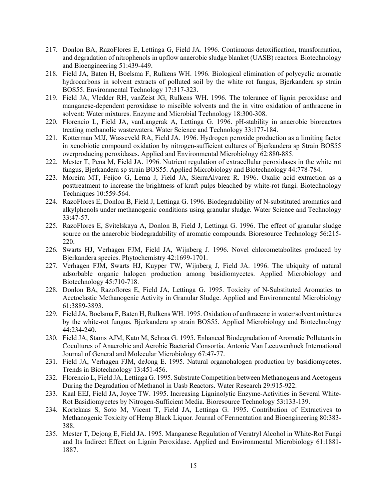- 217. Donlon BA, RazoFlores E, Lettinga G, Field JA. 1996. Continuous detoxification, transformation, and degradation of nitrophenols in upflow anaerobic sludge blanket (UASB) reactors. Biotechnology and Bioengineering 51:439-449.
- 218. Field JA, Baten H, Boelsma F, Rulkens WH. 1996. Biological elimination of polycyclic aromatic hydrocarbons in solvent extracts of polluted soil by the white rot fungus, Bjerkandera sp strain BOS55. Environmental Technology 17:317-323.
- 219. Field JA, Vledder RH, vanZeist JG, Rulkens WH. 1996. The tolerance of lignin peroxidase and manganese-dependent peroxidase to miscible solvents and the in vitro oxidation of anthracene in solvent: Water mixtures. Enzyme and Microbial Technology 18:300-308.
- 220. Florencio L, Field JA, vanLangerak A, Lettinga G. 1996. pH-stability in anaerobic bioreactors treating methanolic wastewaters. Water Science and Technology 33:177-184.
- 221. Kotterman MJJ, Wasseveld RA, Field JA. 1996. Hydrogen peroxide production as a limiting factor in xenobiotic compound oxidation by nitrogen-sufficient cultures of Bjerkandera sp Strain BOS55 overproducing peroxidases. Applied and Environmental Microbiology 62:880-885.
- 222. Mester T, Pena M, Field JA. 1996. Nutrient regulation of extracellular peroxidases in the white rot fungus, Bjerkandera sp strain BOS55. Applied Microbiology and Biotechnology 44:778-784.
- 223. Moreira MT, Feijoo G, Lema J, Field JA, SierraAlvarez R. 1996. Oxalic acid extraction as a posttreatment to increase the brightness of kraft pulps bleached by white-rot fungi. Biotechnology Techniques 10:559-564.
- 224. RazoFlores E, Donlon B, Field J, Lettinga G. 1996. Biodegradability of N-substituted aromatics and alkylphenols under methanogenic conditions using granular sludge. Water Science and Technology 33:47-57.
- 225. RazoFlores E, Svitelskaya A, Donlon B, Field J, Lettinga G. 1996. The effect of granular sludge source on the anaerobic biodegradability of aromatic compounds. Bioresource Technology 56:215- 220.
- 226. Swarts HJ, Verhagen FJM, Field JA, Wijnberg J. 1996. Novel chlorometabolites produced by Bjerkandera species. Phytochemistry 42:1699-1701.
- 227. Verhagen FJM, Swarts HJ, Kuyper TW, Wijnberg J, Field JA. 1996. The ubiquity of natural adsorbable organic halogen production among basidiomycetes. Applied Microbiology and Biotechnology 45:710-718.
- 228. Donlon BA, Razoflores E, Field JA, Lettinga G. 1995. Toxicity of N-Substituted Aromatics to Acetoclastic Methanogenic Activity in Granular Sludge. Applied and Environmental Microbiology 61:3889-3893.
- 229. Field JA, Boelsma F, Baten H, Rulkens WH. 1995. Oxidation of anthracene in water/solvent mixtures by the white-rot fungus, Bjerkandera sp strain BOS55. Applied Microbiology and Biotechnology 44:234-240.
- 230. Field JA, Stams AJM, Kato M, Schraa G. 1995. Enhanced Biodegradation of Aromatic Pollutants in Cocultures of Anaerobic and Aerobic Bacterial Consortia. Antonie Van Leeuwenhoek International Journal of General and Molecular Microbiology 67:47-77.
- 231. Field JA, Verhagen FJM, deJong E. 1995. Natural organohalogen production by basidiomycetes. Trends in Biotechnology 13:451-456.
- 232. Florencio L, Field JA, Lettinga G. 1995. Substrate Competition between Methanogens and Acetogens During the Degradation of Methanol in Uasb Reactors. Water Research 29:915-922.
- 233. Kaal EEJ, Field JA, Joyce TW. 1995. Increasing Ligninolytic Enzyme-Activities in Several White-Rot Basidiomycetes by Nitrogen-Sufficient Media. Bioresource Technology 53:133-139.
- 234. Kortekaas S, Soto M, Vicent T, Field JA, Lettinga G. 1995. Contribution of Extractives to Methanogenic Toxicity of Hemp Black Liquor. Journal of Fermentation and Bioengineering 80:383- 388.
- 235. Mester T, Dejong E, Field JA. 1995. Manganese Regulation of Veratryl Alcohol in White-Rot Fungi and Its Indirect Effect on Lignin Peroxidase. Applied and Environmental Microbiology 61:1881- 1887.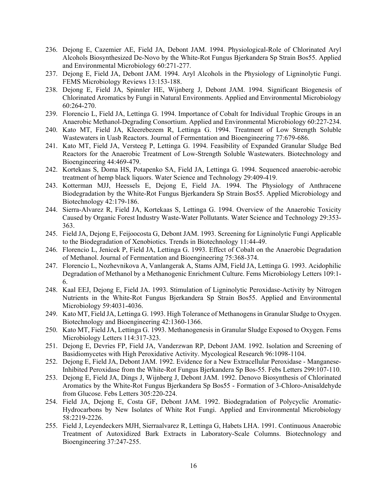- 236. Dejong E, Cazemier AE, Field JA, Debont JAM. 1994. Physiological-Role of Chlorinated Aryl Alcohols Biosynthesized De-Novo by the White-Rot Fungus Bjerkandera Sp Strain Bos55. Applied and Environmental Microbiology 60:271-277.
- 237. Dejong E, Field JA, Debont JAM. 1994. Aryl Alcohols in the Physiology of Ligninolytic Fungi. FEMS Microbiology Reviews 13:153-188.
- 238. Dejong E, Field JA, Spinnler HE, Wijnberg J, Debont JAM. 1994. Significant Biogenesis of Chlorinated Aromatics by Fungi in Natural Environments. Applied and Environmental Microbiology 60:264-270.
- 239. Florencio L, Field JA, Lettinga G. 1994. Importance of Cobalt for Individual Trophic Groups in an Anaerobic Methanol-Degrading Consortium. Applied and Environmental Microbiology 60:227-234.
- 240. Kato MT, Field JA, Kleerebezem R, Lettinga G. 1994. Treatment of Low Strength Soluble Wastewaters in Uasb Reactors. Journal of Fermentation and Bioengineering 77:679-686.
- 241. Kato MT, Field JA, Versteeg P, Lettinga G. 1994. Feasibility of Expanded Granular Sludge Bed Reactors for the Anaerobic Treatment of Low-Strength Soluble Wastewaters. Biotechnology and Bioengineering 44:469-479.
- 242. Kortekaas S, Doma HS, Potapenko SA, Field JA, Lettinga G. 1994. Sequenced anaerobic-aerobic treatment of hemp black liquors. Water Science and Technology 29:409-419.
- 243. Kotterman MJJ, Heessels E, Dejong E, Field JA. 1994. The Physiology of Anthracene Biodegradation by the White-Rot Fungus Bjerkandera Sp Strain Bos55. Applied Microbiology and Biotechnology 42:179-186.
- 244. Sierra-Alvarez R, Field JA, Kortekaas S, Lettinga G. 1994. Overview of the Anaerobic Toxicity Caused by Organic Forest Industry Waste-Water Pollutants. Water Science and Technology 29:353- 363.
- 245. Field JA, Dejong E, Feijoocosta G, Debont JAM. 1993. Screening for Ligninolytic Fungi Applicable to the Biodegradation of Xenobiotics. Trends in Biotechnology 11:44-49.
- 246. Florencio L, Jenicek P, Field JA, Lettinga G. 1993. Effect of Cobalt on the Anaerobic Degradation of Methanol. Journal of Fermentation and Bioengineering 75:368-374.
- 247. Florencio L, Nozhevnikova A, Vanlangerak A, Stams AJM, Field JA, Lettinga G. 1993. Acidophilic Degradation of Methanol by a Methanogenic Enrichment Culture. Fems Microbiology Letters 109:1- 6.
- 248. Kaal EEJ, Dejong E, Field JA. 1993. Stimulation of Ligninolytic Peroxidase-Activity by Nitrogen Nutrients in the White-Rot Fungus Bjerkandera Sp Strain Bos55. Applied and Environmental Microbiology 59:4031-4036.
- 249. Kato MT, Field JA, Lettinga G. 1993. High Tolerance of Methanogens in Granular Sludge to Oxygen. Biotechnology and Bioengineering 42:1360-1366.
- 250. Kato MT, Field JA, Lettinga G. 1993. Methanogenesis in Granular Sludge Exposed to Oxygen. Fems Microbiology Letters 114:317-323.
- 251. Dejong E, Devries FP, Field JA, Vanderzwan RP, Debont JAM. 1992. Isolation and Screening of Basidiomycetes with High Peroxidative Activity. Mycological Research 96:1098-1104.
- 252. Dejong E, Field JA, Debont JAM. 1992. Evidence for a New Extracellular Peroxidase Manganese-Inhibited Peroxidase from the White-Rot Fungus Bjerkandera Sp Bos-55. Febs Letters 299:107-110.
- 253. Dejong E, Field JA, Dings J, Wijnberg J, Debont JAM. 1992. Denovo Biosynthesis of Chlorinated Aromatics by the White-Rot Fungus Bjerkandera Sp Bos55 - Formation of 3-Chloro-Anisaldehyde from Glucose. Febs Letters 305:220-224.
- 254. Field JA, Dejong E, Costa GF, Debont JAM. 1992. Biodegradation of Polycyclic Aromatic-Hydrocarbons by New Isolates of White Rot Fungi. Applied and Environmental Microbiology 58:2219-2226.
- 255. Field J, Leyendeckers MJH, Sierraalvarez R, Lettinga G, Habets LHA. 1991. Continuous Anaerobic Treatment of Autoxidized Bark Extracts in Laboratory-Scale Columns. Biotechnology and Bioengineering 37:247-255.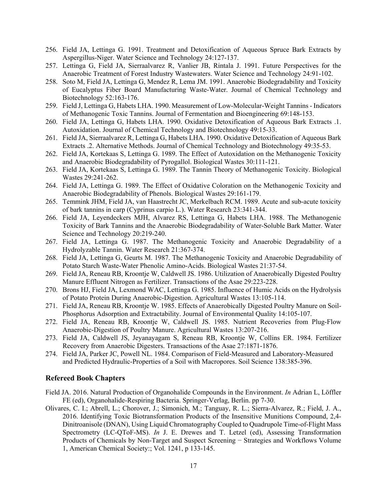- 256. Field JA, Lettinga G. 1991. Treatment and Detoxification of Aqueous Spruce Bark Extracts by Aspergillus-Niger. Water Science and Technology 24:127-137.
- 257. Lettinga G, Field JA, Sierraalvarez R, Vanlier JB, Rintala J. 1991. Future Perspectives for the Anaerobic Treatment of Forest Industry Wastewaters. Water Science and Technology 24:91-102.
- 258. Soto M, Field JA, Lettinga G, Mendez R, Lema JM. 1991. Anaerobic Biodegradability and Toxicity of Eucalyptus Fiber Board Manufacturing Waste-Water. Journal of Chemical Technology and Biotechnology 52:163-176.
- 259. Field J, Lettinga G, Habets LHA. 1990. Measurement of Low-Molecular-Weight Tannins Indicators of Methanogenic Toxic Tannins. Journal of Fermentation and Bioengineering 69:148-153.
- 260. Field JA, Lettinga G, Habets LHA. 1990. Oxidative Detoxification of Aqueous Bark Extracts .1. Autoxidation. Journal of Chemical Technology and Biotechnology 49:15-33.
- 261. Field JA, Sierraalvarez R, Lettinga G, Habets LHA. 1990. Oxidative Detoxification of Aqueous Bark Extracts .2. Alternative Methods. Journal of Chemical Technology and Biotechnology 49:35-53.
- 262. Field JA, Kortekaas S, Lettinga G. 1989. The Effect of Autoxidation on the Methanogenic Toxicity and Anaerobic Biodegradability of Pyrogallol. Biological Wastes 30:111-121.
- 263. Field JA, Kortekaas S, Lettinga G. 1989. The Tannin Theory of Methanogenic Toxicity. Biological Wastes 29:241-262.
- 264. Field JA, Lettinga G. 1989. The Effect of Oxidative Coloration on the Methanogenic Toxicity and Anaerobic Biodegradability of Phenols. Biological Wastes 29:161-179.
- 265. Temmink JHM, Field JA, van Haastrecht JC, Merkelbach RCM. 1989. Acute and sub-acute toxicity of bark tannins in carp (Cyprinus carpio L.). Water Research 23:341-344.
- 266. Field JA, Leyendeckers MJH, Alvarez RS, Lettinga G, Habets LHA. 1988. The Methanogenic Toxicity of Bark Tannins and the Anaerobic Biodegradability of Water-Soluble Bark Matter. Water Science and Technology 20:219-240.
- 267. Field JA, Lettinga G. 1987. The Methanogenic Toxicity and Anaerobic Degradability of a Hydrolyzable Tannin. Water Research 21:367-374.
- 268. Field JA, Lettinga G, Geurts M. 1987. The Methanogenic Toxicity and Anaerobic Degradability of Potato Starch Waste-Water Phenolic Amino-Acids. Biological Wastes 21:37-54.
- 269. Field JA, Reneau RB, Kroontje W, Caldwell JS. 1986. Utilization of Anaerobically Digested Poultry Manure Effluent Nitrogen as Fertilizer. Transactions of the Asae 29:223-228.
- 270. Brons HJ, Field JA, Lexmond WAC, Lettinga G. 1985. Influence of Humic Acids on the Hydrolysis of Potato Protein During Anaerobic-Digestion. Agricultural Wastes 13:105-114.
- 271. Field JA, Reneau RB, Kroontje W. 1985. Effects of Anaerobically Digested Poultry Manure on Soil-Phosphorus Adsorption and Extractability. Journal of Environmental Quality 14:105-107.
- 272. Field JA, Reneau RB, Kroontje W, Caldwell JS. 1985. Nutrient Recoveries from Plug-Flow Anaerobic-Digestion of Poultry Manure. Agricultural Wastes 13:207-216.
- 273. Field JA, Caldwell JS, Jeyanayagam S, Reneau RB, Kroontje W, Collins ER. 1984. Fertilizer Recovery from Anaerobic Digesters. Transactions of the Asae 27:1871-1876.
- 274. Field JA, Parker JC, Powell NL. 1984. Comparison of Field-Measured and Laboratory-Measured and Predicted Hydraulic-Properties of a Soil with Macropores. Soil Science 138:385-396.

#### **Refereed Book Chapters**

- Field JA. 2016. Natural Production of Organohalide Compounds in the Environment. *In* Adrian L, Löffler FE (ed), Organohalide-Respiring Bacteria. Springer-Verlag, Berlin. pp 7-30.
- Olivares, C. I.; Abrell, L.; Chorover, J.; Simonich, M.; Tanguay, R. L.; Sierra-Alvarez, R.; Field, J. A., 2016. Identifying Toxic Biotransformation Products of the Insensitive Munitions Compound, 2,4- Dinitroanisole (DNAN), Using Liquid Chromatography Coupled to Quadrupole Time-of-Flight Mass Spectrometry (LC-QToF-MS). *In* J. E. Drewes and T. Letzel (ed), Assessing Transformation Products of Chemicals by Non-Target and Suspect Screening − Strategies and Workflows Volume 1, American Chemical Society:; Vol. 1241, p 133-145.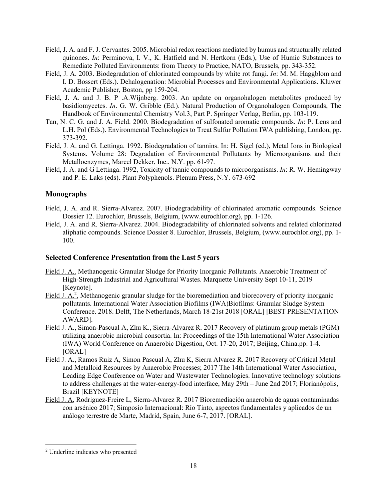- Field, J. A. and F. J. Cervantes. 2005. Microbial redox reactions mediated by humus and structurally related quinones. *In*: Perminova, I. V., K. Hatfield and N. Hertkorn (Eds.), Use of Humic Substances to Remediate Polluted Environments: from Theory to Practice, NATO, Brussels, pp. 343-352.
- Field, J. A. 2003. Biodegradation of chlorinated compounds by white rot fungi. *In*: M. M. Haggblom and I. D. Bossert (Eds.). Dehalogenation: Microbial Processes and Environmental Applications. Kluwer Academic Publisher, Boston, pp 159-204.
- Field, J. A. and J. B. P .A.Wijnberg. 2003. An update on organohalogen metabolites produced by basidiomycetes. *In*. G. W. Gribble (Ed.). Natural Production of Organohalogen Compounds, The Handbook of Environmental Chemistry Vol.3, Part P. Springer Verlag, Berlin, pp. 103-119.
- Tan, N. C. G. and J. A. Field. 2000. Biodegradation of sulfonated aromatic compounds. *In*: P. Lens and L.H. Pol (Eds.). Environmental Technologies to Treat Sulfur Pollution IWA publishing, London, pp. 373-392.
- Field, J. A. and G. Lettinga. 1992. Biodegradation of tannins. In: H. Sigel (ed.), Metal Ions in Biological Systems. Volume 28: Degradation of Environmental Pollutants by Microorganisms and their Metalloenzymes, Marcel Dekker, Inc., N.Y. pp. 61-97.
- Field, J. A. and G Lettinga. 1992, Toxicity of tannic compounds to microorganisms. *In*: R. W. Hemingway and P. E. Laks (eds). Plant Polyphenols. Plenum Press, N.Y. 673-692

# **Monographs**

- Field, J. A. and R. Sierra-Alvarez. 2007. Biodegradability of chlorinated aromatic compounds. Science Dossier 12. Eurochlor, Brussels, Belgium, (www.eurochlor.org), pp. 1-126.
- Field, J. A. and R. Sierra-Alvarez. 2004. Biodegradability of chlorinated solvents and related chlorinated aliphatic compounds. Science Dossier 8. Eurochlor, Brussels, Belgium, (www.eurochlor.org), pp. 1- 100.

# **Selected Conference Presentation from the Last 5 years**

- Field J. A.. Methanogenic Granular Sludge for Priority Inorganic Pollutants. Anaerobic Treatment of High-Strength Industrial and Agricultural Wastes. Marquette University Sept 10-11, 2019 [Keynote].
- Field J.  $A<sup>2</sup>$ , Methanogenic granular sludge for the bioremediation and biorecovery of priority inorganic pollutants. International Water Association Biofilms (IWA)Biofilms: Granular Sludge System Conference. 2018. Delft, The Netherlands, March 18-21st 2018 [ORAL] [BEST PRESENTATION AWARD].
- Field J. A., Simon-Pascual A, Zhu K., Sierra-Alvarez R. 2017 Recovery of platinum group metals (PGM) utilizing anaerobic microbial consortia. In: Proceedings of the 15th International Water Association (IWA) World Conference on Anaerobic Digestion, Oct. 17-20, 2017; Beijing, China.pp. 1-4. [ORAL]
- Field J. A., Ramos Ruiz A, Simon Pascual A, Zhu K, Sierra Alvarez R. 2017 Recovery of Critical Metal and Metalloid Resources by Anaerobic Processes; 2017 The 14th International Water Association, Leading Edge Conference on Water and Wastewater Technologies. Innovative technology solutions to address challenges at the water-energy-food interface, May 29th – June 2nd 2017; Florianópolis, Brazil [KEYNOTE]
- Field J. A, Rodriguez-Freire L, Sierra-Alvarez R. 2017 Bioremediación anaerobia de aguas contaminadas con arsénico 2017; Simposio Internacional: Río Tinto, aspectos fundamentales y aplicados de un análogo terrestre de Marte, Madrid, Spain, June 6-7, 2017. [ORAL].

 $\overline{a}$ 

<sup>2</sup> Underline indicates who presented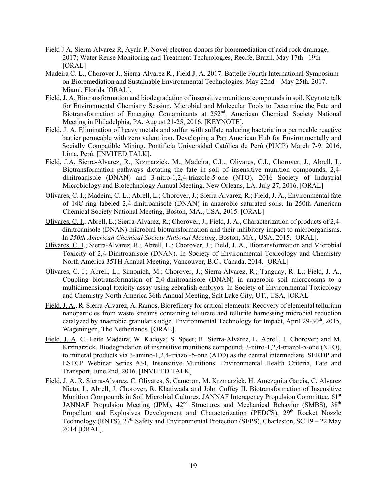- Field J A, Sierra-Alvarez R, Ayala P. Novel electron donors for bioremediation of acid rock drainage; 2017; Water Reuse Monitoring and Treatment Technologies, Recife, Brazil. May 17th –19th [ORAL]
- Madeira C. L., Chorover J., Sierra-Alvarez R., Field J. A. 2017. Battelle Fourth International Symposium on Bioremediation and Sustainable Environmental Technologies. May 22nd – May 25th, 2017. Miami, Florida [ORAL].
- Field, J. A. Biotransformation and biodegradation of insensitive munitions compounds in soil. Keynote talk for Environmental Chemistry Session, Microbial and Molecular Tools to Determine the Fate and Biotransformation of Emerging Contaminants at 252<sup>nd</sup>. American Chemical Society National Meeting in Philadelphia, PA, August 21-25, 2016. [KEYNOTE].
- Field, J. A. Elimination of heavy metals and sulfur with sulfate reducing bacteria in a permeable reactive barrier permeable with zero valent iron. Developing a Pan American Hub for Environmentally and Socially Compatible Mining. Pontificia Universidad Católica de Perú (PUCP) March 7-9, 2016, Lima, Perú. [INVITED TALK].
- Field, J.A, Sierra-Alvarez, R., Krzmarzick, M., Madeira, C.L., Olivares, C.I., Chorover, J., Abrell, L. Biotransformation pathways dictating the fate in soil of insensitive munition compounds, 2,4 dinitroanisole (DNAN) and 3-nitro-1,2,4-triazole-5-one (NTO). 2016 Society of Industrial Microbiology and Biotechnology Annual Meeting. New Orleans, LA. July 27, 2016. [ORAL]
- Olivares, C. I.; Madeira, C. L.; Abrell, L.; Chorover, J.; Sierra-Alvarez, R.; Field, J. A., Environmental fate of 14C-ring labeled 2,4-dinitroanisole (DNAN) in anaerobic saturated soils. In 250th American Chemical Society National Meeting, Boston, MA., USA, 2015. [ORAL]
- Olivares, C. I.; Abrell, L.; Sierra-Alvarez, R.; Chorover, J.; Field, J. A., Characterization of products of 2,4 dinitroanisole (DNAN) microbial biotransformation and their inhibitory impact to microorganisms. In *250th American Chemical Society National Meeting*, Boston, MA., USA, 2015. [ORAL].
- Olivares, C. I.; Sierra-Alvarez, R.; Abrell, L.; Chorover, J.; Field, J. A., Biotransformation and Microbial Toxicity of 2,4-Dinitroanisole (DNAN). In Society of Environmental Toxicology and Chemistry North America 35TH Annual Meeting, Vancouver, B.C., Canada, 2014. [ORAL]
- Olivares, C. I.; Abrell, L.; Simonich, M.; Chorover, J.; Sierra-Alvarez, R.; Tanguay, R. L.; Field, J. A., Coupling biotransformation of 2,4-dinitroanisole (DNAN) in anaerobic soil microcosms to a multidimensional toxicity assay using zebrafish embryos. In Society of Environmental Toxicology and Chemistry North America 36th Annual Meeting, Salt Lake City, UT., USA, [ORAL]
- Field, J. A., R. Sierra-Alvarez, A. Ramos. Biorefinery for critical elements: Recovery of elemental tellurium nanoparticles from waste streams containing tellurate and tellurite harnessing microbial reduction catalyzed by anaerobic granular sludge. Environmental Technology for Impact, April 29-30<sup>th</sup>, 2015, Wageningen, The Netherlands. [ORAL].
- Field, J. A. C. Leite Madeira; W. Kadoya; S. Speet; R. Sierra-Alvarez, L. Abrell, J. Chorover; and M. Krzmarzick. Biodegradation of insensitive munitions compound, 3-nitro-1,2,4-triazol-5-one (NTO), to mineral products via 3-amino-1,2,4-triazol-5-one (ATO) as the central intermediate. SERDP and ESTCP Webinar Series #34, Insensitive Munitions: Environmental Health Criteria, Fate and Transport, June 2nd, 2016. [INVITED TALK]
- Field, J. A. R. Sierra-Alvarez, C. Olivares, S. Cameron, M. Krzmarzick, H. Amezquita Garcia, C. Alvarez Nieto, L. Abrell, J. Chorover, R. Khatiwada and John Coffey II. Biotransformation of Insensitive Munition Compounds in Soil Microbial Cultures. JANNAF Interagency Propulsion Committee. 61<sup>st</sup> JANNAF Propulsion Meeting (JPM),  $42<sup>nd</sup>$  Structures and Mechanical Behavior (SMBS),  $38<sup>th</sup>$ Propellant and Explosives Development and Characterization (PEDCS), 29<sup>th</sup> Rocket Nozzle Technology (RNTS),  $27<sup>th</sup>$  Safety and Environmental Protection (SEPS), Charleston, SC 19 – 22 May 2014 [ORAL].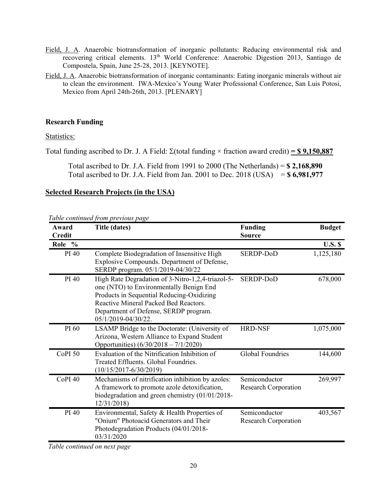- Field, J. A. Anaerobic biotransformation of inorganic pollutants: Reducing environmental risk and recovering critical elements. 13<sup>th</sup> World Conference: Anaerobic Digestion 2013, Santiago de Compostela, Spain, June 25-28, 2013. [KEYNOTE].
- Field, J. A. Anaerobic biotransformation of inorganic contaminants: Eating inorganic minerals without air to clean the environment. IWA-Mexico's Young Water Professional Conference, San Luis Potosi, Mexico from April 24th-26th, 2013. [PLENARY]

# **Research Funding**

Statistics:

Total funding ascribed to Dr. J. A Field:  $\Sigma$ (total funding  $\times$  fraction award credit) = \$ 9,150,887

 Total ascribed to Dr. J.A. Field from 1991 to 2000 (The Netherlands) = **\$ 2,168,890** Total ascribed to Dr. J.A. Field from Jan. 2001 to Dec. 2018 (USA) = **\$ 6,981,977**

# **Selected Research Projects (in the USA)**

| Table continued from previous page |  |  |
|------------------------------------|--|--|
|                                    |  |  |

| Award<br><b>Credit</b> | <b>Title (dates)</b>                                                                                                                                                                                                                               | <b>Funding</b><br><b>Source</b>              | <b>Budget</b>  |
|------------------------|----------------------------------------------------------------------------------------------------------------------------------------------------------------------------------------------------------------------------------------------------|----------------------------------------------|----------------|
| Role %                 |                                                                                                                                                                                                                                                    |                                              | <b>U.S. \$</b> |
| PI 40                  | Complete Biodegradation of Insensitive High<br>Explosive Compounds. Department of Defense,<br>SERDP program. 05/1/2019-04/30/22                                                                                                                    | SERDP-DoD                                    | 1,125,180      |
| PI 40                  | High Rate Degradation of 3-Nitro-1,2,4-triazol-5-<br>one (NTO) to Environmentally Benign End<br>Products in Sequential Reducing-Oxidizing<br>Reactive Mineral Packed Bed Reactors.<br>Department of Defense, SERDP program.<br>05/1/2019-04/30/22. | SERDP-DoD                                    | 678,000        |
| PI 60                  | LSAMP Bridge to the Doctorate: (University of<br>Arizona, Western Alliance to Expand Student<br>Opportunities) $(6/30/2018 - 7/1/2020)$                                                                                                            | <b>HRD-NSF</b>                               | 1,075,000      |
| CoPI <sub>50</sub>     | Evaluation of the Nitrification Inhibition of<br>Treated Effluents. Global Foundries.<br>$(10/15/2017 - 6/30/2019)$                                                                                                                                | <b>Global Foundries</b>                      | 144,600        |
| CoPI <sub>40</sub>     | Mechanisms of nitrification inhibition by azoles:<br>A framework to promote azole detoxification,<br>biodegradation and green chemistry (01/01/2018-<br>12/31/2018                                                                                 | Semiconductor<br><b>Research Corporation</b> | 269,997        |
| PI 40                  | Environmental, Safety & Health Properties of<br>"Onium" Photoacid Generators and Their<br>Photodegradation Products (04/01/2018-<br>03/31/2020                                                                                                     | Semiconductor<br><b>Research Corporation</b> | 403,567        |

*Table continued on next page*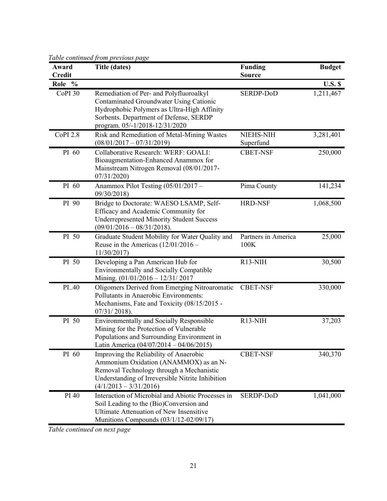*Table continued from previous page* 

| Award<br><b>Credit</b> | raole communeu ji om previous page<br>Title (dates)                                                                                                                                                           | <b>Funding</b><br><b>Source</b>  | <b>Budget</b>  |
|------------------------|---------------------------------------------------------------------------------------------------------------------------------------------------------------------------------------------------------------|----------------------------------|----------------|
| Role %                 |                                                                                                                                                                                                               |                                  | <b>U.S. \$</b> |
| CoPI 30                | Remediation of Per- and Polyfluoroalkyl<br>Contaminated Groundwater Using Cationic<br>Hydrophobic Polymers as Ultra-High Affinity<br>Sorbents. Department of Defense, SERDP<br>program. 05/-1/2018-12/31/2020 | SERDP-DoD                        | 1,211,467      |
| <b>CoPI 2.8</b>        | Risk and Remediation of Metal-Mining Wastes<br>$(08/01/2017 - 07/31/2019)$                                                                                                                                    | <b>NIEHS-NIH</b><br>Superfund    | 3,281,401      |
| PI 60                  | Collaborative Research: WERF: GOALI:<br>Bioaugmentation-Enhanced Anammox for<br>Mainstream Nitrogen Removal (08/01/2017-<br>07/31/2020                                                                        | <b>CBET-NSF</b>                  | 250,000        |
| PI 60                  | Anammox Pilot Testing (05/01/2017 -<br>09/30/2018)                                                                                                                                                            | Pima County                      | 141,234        |
| PI 90                  | Bridge to Doctorate: WAESO LSAMP, Self-<br>Efficacy and Academic Community for<br><b>Underrepresented Minority Student Success</b><br>$(09/01/2016 - 08/31/2018).$                                            | <b>HRD-NSF</b>                   | 1,068,500      |
| PI 50                  | Graduate Student Mobility for Water Quality and<br>Reuse in the Americas $(12/01/2016 -$<br>11/30/2017                                                                                                        | Partners in America<br>100K      | 25,000         |
| PI 50                  | Developing a Pan American Hub for<br><b>Environmentally and Socially Compatible</b><br>Mining. (01/01/2016 - 12/31/2017                                                                                       | R <sub>13</sub> -N <sub>IH</sub> | 30,500         |
| PI40                   | Oligomers Derived from Emerging Nitroaromatic<br>Pollutants in Anaerobic Environments:<br>Mechanisms, Fate and Toxicity (08/15/2015 -<br>$07/31/2018$ ).                                                      | <b>CBET-NSF</b>                  | 330,000        |
| PI 50                  | Environmentally and Socially Responsible<br>Mining for the Protection of Vulnerable<br>Populations and Surrounding Environment in<br>Latin America $(04/07/2014 - 04/06/2015)$                                | R <sub>13</sub> -NIH             | 37,203         |
| PI 60                  | Improving the Reliability of Anaerobic<br>Ammonium Oxidation (ANAMMOX) as an N-<br>Removal Technology through a Mechanistic<br>Understanding of Irreversible Nitrite Inhibition<br>$(4/1/2013 - 3/31/2016)$   | <b>CBET-NSF</b>                  | 340,370        |
| PI 40                  | Interaction of Microbial and Abiotic Processes in<br>Soil Leading to the (Bio)Conversion and<br><b>Ultimate Attenuation of New Insensitive</b><br>Munitions Compounds (03/1/12-02/09/17)                      | SERDP-DoD                        | 1,041,000      |

*Table continued on next page*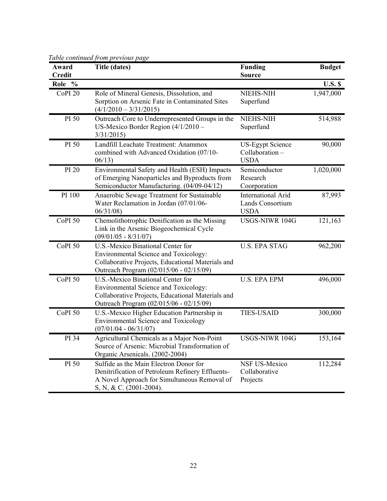| Award<br><b>Credit</b> | ruote communeu ji'om previous puge<br><b>Title (dates)</b>                                                                                                                 | <b>Funding</b><br><b>Source</b>                              | <b>Budget</b>  |
|------------------------|----------------------------------------------------------------------------------------------------------------------------------------------------------------------------|--------------------------------------------------------------|----------------|
| Role %                 |                                                                                                                                                                            |                                                              | <b>U.S. \$</b> |
| CoPI <sub>20</sub>     | Role of Mineral Genesis, Dissolution, and<br>Sorption on Arsenic Fate in Contaminated Sites<br>$(4/1/2010 - 3/31/2015)$                                                    | NIEHS-NIH<br>Superfund                                       | 1,947,000      |
| PI 50                  | Outreach Core to Underrepresented Groups in the<br>US-Mexico Border Region $(4/1/2010 -$<br>3/31/2015                                                                      | <b>NIEHS-NIH</b><br>Superfund                                | 514,988        |
| PI 50                  | Landfill Leachate Treatment: Anammox<br>combined with Advanced Oxidation (07/10-<br>06/13                                                                                  | <b>US-Egypt Science</b><br>Collaboration-<br><b>USDA</b>     | 90,000         |
| PI 20                  | Environmental Safety and Health (ESH) Impacts<br>of Emerging Nanoparticles and Byproducts from<br>Semiconductor Manufacturing. (04/09-04/12)                               | Semiconductor<br>Research<br>Coorporation                    | 1,020,000      |
| PI 100                 | Anaerobic Sewage Treatment for Sustainable<br>Water Reclamation in Jordan (07/01/06-<br>06/31/08                                                                           | <b>International Arid</b><br>Lands Consortium<br><b>USDA</b> | 87,993         |
| CoPI <sub>50</sub>     | Chemolithotrophic Denification as the Missing<br>Link in the Arsenic Biogeochemical Cycle<br>$(09/01/05 - 8/31/07)$                                                        | USGS-NIWR 104G                                               | 121,163        |
| CoPI <sub>50</sub>     | U.S.-Mexico Binational Center for<br>Environmental Science and Toxicology:<br>Collaborative Projects, Educational Materials and<br>Outreach Program (02/015/06 - 02/15/09) | <b>U.S. EPA STAG</b>                                         | 962,200        |
| CoPI <sub>50</sub>     | U.S.-Mexico Binational Center for<br>Environmental Science and Toxicology:<br>Collaborative Projects, Educational Materials and<br>Outreach Program (02/015/06 - 02/15/09) | <b>U.S. EPA EPM</b>                                          | 496,000        |
| CoPI <sub>50</sub>     | U.S.-Mexico Higher Education Partnership in<br><b>Environmental Science and Toxicology</b><br>$(07/01/04 - 06/31/07)$                                                      | <b>TIES-USAID</b>                                            | 300,000        |
| PI 34                  | Agricultural Chemicals as a Major Non-Point<br>Source of Arsenic: Microbial Transformation of<br>Organic Arsenicals. (2002-2004)                                           | USGS-NIWR 104G                                               | 153,164        |
| PI 50                  | Sulfide as the Main Electron Donor for<br>Denitrification of Petroleum Refinery Effluents-<br>A Novel Approach for Simultaneous Removal of<br>S, N, & C. (2001-2004).      | <b>NSF US-Mexico</b><br>Collaborative<br>Projects            | 112,284        |

*Table continued from previous page*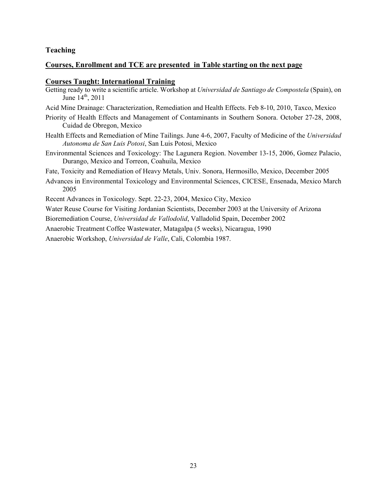# **Teaching**

# **Courses, Enrollment and TCE are presented in Table starting on the next page**

#### **Courses Taught: International Training**

- Getting ready to write a scientific article. Workshop at *Universidad de Santiago de Compostela* (Spain), on June 14th, 2011
- Acid Mine Drainage: Characterization, Remediation and Health Effects. Feb 8-10, 2010, Taxco, Mexico
- Priority of Health Effects and Management of Contaminants in Southern Sonora. October 27-28, 2008, Cuidad de Obregon, Mexico
- Health Effects and Remediation of Mine Tailings. June 4-6, 2007, Faculty of Medicine of the *Universidad Autonoma de San Luis Potosi*, San Luis Potosi, Mexico
- Environmental Sciences and Toxicology: The Lagunera Region. November 13-15, 2006, Gomez Palacio, Durango, Mexico and Torreon, Coahuila, Mexico
- Fate, Toxicity and Remediation of Heavy Metals, Univ. Sonora, Hermosillo, Mexico, December 2005
- Advances in Environmental Toxicology and Environmental Sciences, CICESE, Ensenada, Mexico March 2005
- Recent Advances in Toxicology. Sept. 22-23, 2004, Mexico City, Mexico

Water Reuse Course for Visiting Jordanian Scientists, December 2003 at the University of Arizona

Bioremediation Course, *Universidad de Vallodolid*, Valladolid Spain, December 2002

Anaerobic Treatment Coffee Wastewater, Matagalpa (5 weeks), Nicaragua, 1990

Anaerobic Workshop, *Universidad de Valle*, Cali, Colombia 1987.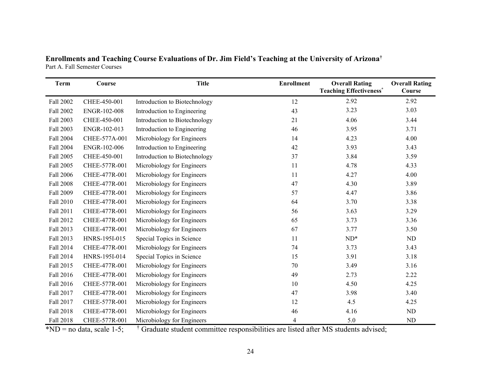**Enrollments and Teaching Course Evaluations of Dr. Jim Field's Teaching at the University of Arizona†** Part A. Fall Semester Courses

| <b>Term</b>      | Course        | <b>Title</b>                  | <b>Enrollment</b> | <b>Overall Rating</b><br><b>Teaching Effectiveness*</b> | <b>Overall Rating</b><br>Course |
|------------------|---------------|-------------------------------|-------------------|---------------------------------------------------------|---------------------------------|
| Fall 2002        | CHEE-450-001  | Introduction to Biotechnology | 12                | 2.92                                                    | 2.92                            |
| Fall 2002        | ENGR-102-008  | Introduction to Engineering   | 43                | 3.23                                                    | 3.03                            |
| Fall 2003        | CHEE-450-001  | Introduction to Biotechnology | 21                | 4.06                                                    | 3.44                            |
| Fall 2003        | ENGR-102-013  | Introduction to Engineering   | 46                | 3.95                                                    | 3.71                            |
| <b>Fall 2004</b> | CHEE-577A-001 | Microbiology for Engineers    | 14                | 4.23                                                    | 4.00                            |
| Fall 2004        | ENGR-102-006  | Introduction to Engineering   | 42                | 3.93                                                    | 3.43                            |
| Fall 2005        | CHEE-450-001  | Introduction to Biotechnology | 37                | 3.84                                                    | 3.59                            |
| Fall 2005        | CHEE-577R-001 | Microbiology for Engineers    | 11                | 4.78                                                    | 4.33                            |
| <b>Fall 2006</b> | CHEE-477R-001 | Microbiology for Engineers    | 11                | 4.27                                                    | 4.00                            |
| <b>Fall 2008</b> | CHEE-477R-001 | Microbiology for Engineers    | 47                | 4.30                                                    | 3.89                            |
| Fall 2009        | CHEE-477R-001 | Microbiology for Engineers    | 57                | 4.47                                                    | 3.86                            |
| Fall 2010        | CHEE-477R-001 | Microbiology for Engineers    | 64                | 3.70                                                    | 3.38                            |
| Fall 2011        | CHEE-477R-001 | Microbiology for Engineers    | 56                | 3.63                                                    | 3.29                            |
| Fall 2012        | CHEE-477R-001 | Microbiology for Engineers    | 65                | 3.73                                                    | 3.36                            |
| Fall 2013        | CHEE-477R-001 | Microbiology for Engineers    | 67                | 3.77                                                    | 3.50                            |
| Fall 2013        | HNRS-195I-015 | Special Topics in Science     | 11                | $ND^*$                                                  | ND                              |
| Fall 2014        | CHEE-477R-001 | Microbiology for Engineers    | 74                | 3.73                                                    | 3.43                            |
| Fall 2014        | HNRS-195I-014 | Special Topics in Science     | 15                | 3.91                                                    | 3.18                            |
| Fall 2015        | CHEE-477R-001 | Microbiology for Engineers    | 70                | 3.49                                                    | 3.16                            |
| Fall 2016        | CHEE-477R-001 | Microbiology for Engineers    | 49                | 2.73                                                    | 2.22                            |
| Fall 2016        | CHEE-577R-001 | Microbiology for Engineers    | 10                | 4.50                                                    | 4.25                            |
| Fall 2017        | CHEE-477R-001 | Microbiology for Engineers    | 47                | 3.98                                                    | 3.40                            |
| Fall 2017        | CHEE-577R-001 | Microbiology for Engineers    | 12                | 4.5                                                     | 4.25                            |
| <b>Fall 2018</b> | CHEE-477R-001 | Microbiology for Engineers    | 46                | 4.16                                                    | $\rm ND$                        |
| Fall 2018        | CHEE-577R-001 | Microbiology for Engineers    | 4                 | 5.0                                                     | ND                              |

 $*ND = no$  data, scale 1-5;  $†$  Graduate student committee responsibilities are listed after MS students advised;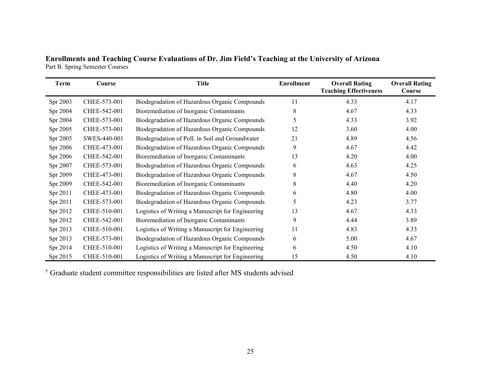**Enrollments and Teaching Course Evaluations of Dr. Jim Field's Teaching at the University of Arizona**  Part B. Spring Semester Courses

| <b>Term</b> | Course       | <b>Title</b>                                      | <b>Enrollment</b> | <b>Overall Rating</b><br><b>Teaching Effectiveness</b> | <b>Overall Rating</b><br>Course |
|-------------|--------------|---------------------------------------------------|-------------------|--------------------------------------------------------|---------------------------------|
| Spr 2003    | CHEE-573-001 | Biodegradation of Hazardous Organic Compounds     | 11                | 4.33                                                   | 4.17                            |
| Spr 2004    | CHEE-542-001 | Bioremediation of Inorganic Contaminants          | 8                 | 4.67                                                   | 4.33                            |
| Spr 2004    | CHEE-573-001 | Biodegradation of Hazardous Organic Compounds     | 5                 | 4.33                                                   | 3.92                            |
| Spr 2005    | CHEE-573-001 | Biodegradation of Hazardous Organic Compounds     | 12                | 3.60                                                   | 4.00                            |
| Spr 2005    | SWES-440-001 | Biodegradation of Poll. in Soil and Groundwater   | 21                | 4.89                                                   | 4.56                            |
| Spr 2006    | CHEE-473-001 | Biodegradation of Hazardous Organic Compounds     | 9                 | 4.67                                                   | 4.42                            |
| Spr 2006    | CHEE-542-001 | Bioremediation of Inorganic Contaminants          | 13                | 4.20                                                   | 4.00                            |
| Spr 2007    | CHEE-573-001 | Biodegradation of Hazardous Organic Compounds     | 6                 | 4.63                                                   | 4.25                            |
| Spr 2009    | CHEE-473-001 | Biodegradation of Hazardous Organic Compounds     | 8                 | 4.67                                                   | 4.50                            |
| Spr 2009    | CHEE-542-001 | Bioremediation of Inorganic Contaminants          | 8                 | 4.40                                                   | 4.20                            |
| Spr 2011    | CHEE-473-001 | Biodegradation of Hazardous Organic Compounds     | 6                 | 4.80                                                   | 4.00                            |
| Spr 2011    | CHEE-573-001 | Biodegradation of Hazardous Organic Compounds     | 5                 | 4.23                                                   | 3.77                            |
| Spr 2012    | CHEE-510-001 | Logistics of Writing a Manuscript for Engineering | 13                | 4.67                                                   | 4.33                            |
| Spr 2012    | CHEE-542-001 | Bioremediation of Inorganic Contaminants          | 9                 | 4.44                                                   | 3.89                            |
| Spr 2013    | CHEE-510-001 | Logistics of Writing a Manuscript for Engineering | 11                | 4.83                                                   | 4.33                            |
| Spr 2013    | CHEE-573-001 | Biodegradation of Hazardous Organic Compounds     | 6                 | 5.00                                                   | 4.67                            |
| Spr 2014    | CHEE-510-001 | Logistics of Writing a Manuscript for Engineering | 6                 | 4.50                                                   | 4.10                            |
| Spr 2015    | CHEE-510-001 | Logistics of Writing a Manuscript for Engineering | 15                | 4.50                                                   | 4.10                            |

† Graduate student committee responsibilities are listed after MS students advised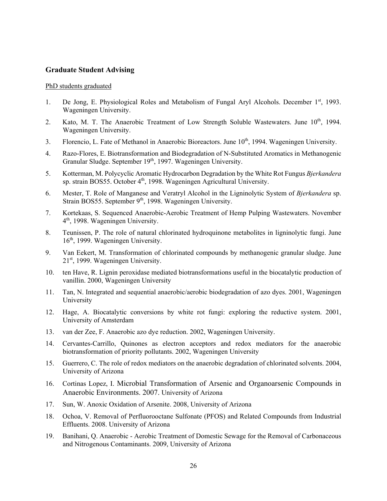# **Graduate Student Advising**

#### PhD students graduated

- 1. De Jong, E. Physiological Roles and Metabolism of Fungal Aryl Alcohols. December  $1<sup>st</sup>$ , 1993. Wageningen University.
- 2. Kato, M. T. The Anaerobic Treatment of Low Strength Soluble Wastewaters. June 10<sup>th</sup>, 1994. Wageningen University.
- 3. Florencio, L. Fate of Methanol in Anaerobic Bioreactors. June 10<sup>th</sup>, 1994. Wageningen University.
- 4. Razo-Flores, E. Biotransformation and Biodegradation of N-Substituted Aromatics in Methanogenic Granular Sludge. September 19<sup>th</sup>, 1997. Wageningen University.
- 5. Kotterman, M. Polycyclic Aromatic Hydrocarbon Degradation by the White Rot Fungus *Bjerkandera* sp. strain BOS55. October  $4<sup>th</sup>$ , 1998. Wageningen Agricultural University.
- 6. Mester, T. Role of Manganese and Veratryl Alcohol in the Ligninolytic System of *Bjerkandera* sp. Strain BOS55. September 9<sup>th</sup>, 1998. Wageningen University.
- 7. Kortekaas, S. Sequenced Anaerobic-Aerobic Treatment of Hemp Pulping Wastewaters. November 4th, 1998. Wageningen University.
- 8. Teunissen, P. The role of natural chlorinated hydroquinone metabolites in ligninolytic fungi. June 16th, 1999. Wageningen University.
- 9. Van Eekert, M. Transformation of chlorinated compounds by methanogenic granular sludge. June 21st, 1999. Wageningen University.
- 10. ten Have, R. Lignin peroxidase mediated biotransformations useful in the biocatalytic production of vanillin. 2000, Wageningen University
- 11. Tan, N. Integrated and sequential anaerobic/aerobic biodegradation of azo dyes. 2001, Wageningen University
- 12. Hage, A. Biocatalytic conversions by white rot fungi: exploring the reductive system. 2001, University of Amsterdam
- 13. van der Zee, F. Anaerobic azo dye reduction. 2002, Wageningen University.
- 14. Cervantes-Carrillo, Quinones as electron acceptors and redox mediators for the anaerobic biotransformation of priority pollutants. 2002, Wageningen University
- 15. Guerrero, C. The role of redox mediators on the anaerobic degradation of chlorinated solvents. 2004, University of Arizona
- 16. Cortinas Lopez, I. Microbial Transformation of Arsenic and Organoarsenic Compounds in Anaerobic Environments. 2007. University of Arizona
- 17. Sun, W. Anoxic Oxidation of Arsenite. 2008, University of Arizona
- 18. Ochoa, V. Removal of Perfluorooctane Sulfonate (PFOS) and Related Compounds from Industrial Effluents. 2008. University of Arizona
- 19. Banihani, Q. Anaerobic Aerobic Treatment of Domestic Sewage for the Removal of Carbonaceous and Nitrogenous Contaminants. 2009, University of Arizona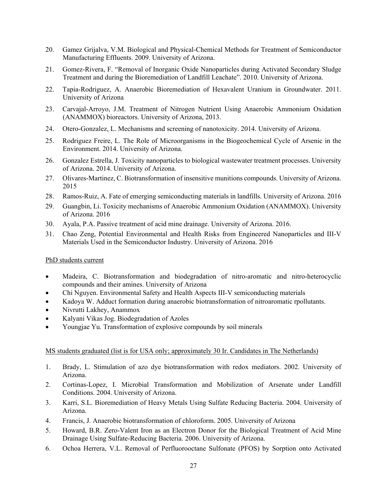- 20. Gamez Grijalva, V.M. Biological and Physical-Chemical Methods for Treatment of Semiconductor Manufacturing Effluents. 2009. University of Arizona.
- 21. Gomez-Rivera, F. "Removal of Inorganic Oxide Nanoparticles during Activated Secondary Sludge Treatment and during the Bioremediation of Landfill Leachate". 2010. University of Arizona.
- 22. Tapia-Rodriguez, A. Anaerobic Bioremediation of Hexavalent Uranium in Groundwater. 2011. University of Arizona
- 23. Carvajal-Arroyo, J.M. Treatment of Nitrogen Nutrient Using Anaerobic Ammonium Oxidation (ANAMMOX) bioreactors. University of Arizona, 2013.
- 24. Otero-Gonzalez, L. Mechanisms and screening of nanotoxicity. 2014. University of Arizona.
- 25. Rodriguez Freire, L. The Role of Microorganisms in the Biogeochemical Cycle of Arsenic in the Environment. 2014. University of Arizona.
- 26. Gonzalez Estrella, J. Toxicity nanoparticles to biological wastewater treatment processes. University of Arizona. 2014. University of Arizona.
- 27. Olivares-Martinez, C. Biotransformation of insensitive munitions compounds. University of Arizona. 2015
- 28. Ramos-Ruiz, A. Fate of emerging semiconducting materials in landfills. University of Arizona. 2016
- 29. Guangbin, Li. Toxicity mechanisms of Anaerobic Ammonium Oxidation (ANAMMOX). University of Arizona. 2016
- 30. Ayala, P.A. Passive treatment of acid mine drainage. University of Arizona. 2016.
- 31. Chao Zeng, Potential Environmental and Health Risks from Engineered Nanoparticles and III-V Materials Used in the Semiconductor Industry. University of Arizona. 2016

# PhD students current

- Madeira, C. Biotransformation and biodegradation of nitro-aromatic and nitro-heterocyclic compounds and their amines. University of Arizona
- Chi Nguyen. Environmental Safety and Health Aspects III-V semiconducting materials
- Kadoya W. Adduct formation during anaerobic biotransformation of nitroaromatic rpollutants.
- Nivrutti Lakhey, Anammox
- Kalyani Vikas Jog. Biodegradation of Azoles
- Youngjae Yu. Transformation of explosive compounds by soil minerals

# MS students graduated (list is for USA only; approximately 30 Ir. Candidates in The Netherlands)

- 1. Brady, L. Stimulation of azo dye biotransformation with redox mediators. 2002. University of Arizona.
- 2. Cortinas-Lopez, I. Microbial Transformation and Mobilization of Arsenate under Landfill Conditions. 2004. University of Arizona.
- 3. Karri, S.L. Bioremediation of Heavy Metals Using Sulfate Reducing Bacteria. 2004. University of Arizona.
- 4. Francis, J. Anaerobic biotransformation of chloroform. 2005. University of Arizona
- 5. Howard, B.R. Zero-Valent Iron as an Electron Donor for the Biological Treatment of Acid Mine Drainage Using Sulfate-Reducing Bacteria. 2006. University of Arizona.
- 6. Ochoa Herrera, V.L. Removal of Perfluorooctane Sulfonate (PFOS) by Sorption onto Activated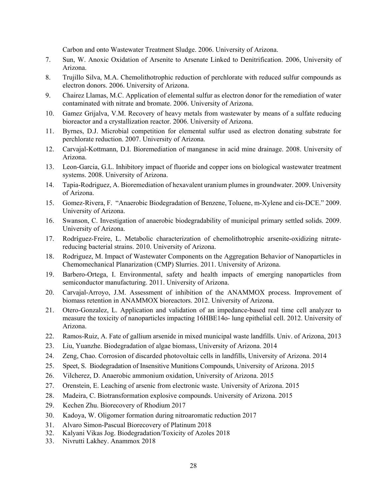Carbon and onto Wastewater Treatment Sludge. 2006. University of Arizona.

- 7. Sun, W. Anoxic Oxidation of Arsenite to Arsenate Linked to Denitrification. 2006, University of Arizona.
- 8. Trujillo Silva, M.A. Chemolithotrophic reduction of perchlorate with reduced sulfur compounds as electron donors. 2006. University of Arizona.
- 9. Chairez Llamas, M.C. Application of elemental sulfur as electron donor for the remediation of water contaminated with nitrate and bromate. 2006. University of Arizona.
- 10. Gamez Grijalva, V.M. Recovery of heavy metals from wastewater by means of a sulfate reducing bioreactor and a crystallization reactor. 2006. University of Arizona.
- 11. Byrnes, D.J. Microbial competition for elemental sulfur used as electron donating substrate for perchlorate reduction. 2007. University of Arizona.
- 12. Carvajal-Kottmann, D.I. Bioremediation of manganese in acid mine drainage. 2008. University of Arizona.
- 13. Leon-Garcia, G.L. Inhibitory impact of fluoride and copper ions on biological wastewater treatment systems. 2008. University of Arizona.
- 14. Tapia-Rodriguez, A. Bioremediation of hexavalent uranium plumes in groundwater. 2009. University of Arizona.
- 15. Gomez-Rivera, F. "Anaerobic Biodegradation of Benzene, Toluene, m-Xylene and cis-DCE." 2009. University of Arizona.
- 16. Swanson, C. Investigation of anaerobic biodegradability of municipal primary settled solids. 2009. University of Arizona.
- 17. Rodríguez-Freire, L. Metabolic characterization of chemolithotrophic arsenite-oxidizing nitratereducing bacterial strains. 2010. University of Arizona.
- 18. Rodriguez, M. Impact of Wastewater Components on the Aggregation Behavior of Nanoparticles in Chemomechanical Planarization (CMP) Slurries. 2011. University of Arizona.
- 19. Barbero-Ortega, I. Environmental, safety and health impacts of emerging nanoparticles from semiconductor manufacturing. 2011. University of Arizona.
- 20. Carvajal-Arroyo, J.M. Assessment of inhibition of the ANAMMOX process. Improvement of biomass retention in ANAMMOX bioreactors. 2012. University of Arizona.
- 21. Otero-Gonzalez, L. Application and validation of an impedance-based real time cell analyzer to measure the toxicity of nanoparticles impacting 16HBE14o- lung epithelial cell. 2012. University of Arizona.
- 22. Ramos-Ruiz, A. Fate of gallium arsenide in mixed municipal waste landfills. Univ. of Arizona, 2013
- 23. Liu, Yuanzhe. Biodegradation of algae biomass, University of Arizona. 2014
- 24. Zeng, Chao. Corrosion of discarded photovoltaic cells in landfills, University of Arizona. 2014
- 25. Speet, S. Biodegradation of Insensitive Munitions Compounds, University of Arizona. 2015
- 26. Vilcherez, D. Anaerobic ammonium oxidation, University of Arizona. 2015
- 27. Orenstein, E. Leaching of arsenic from electronic waste. University of Arizona. 2015
- 28. Madeira, C. Biotransformation explosive compounds. University of Arizona. 2015
- 29. Kechen Zhu. Biorecovery of Rhodium 2017
- 30. Kadoya, W. Oligomer formation during nitroaromatic reduction 2017
- 31. Alvaro Simon-Pascual Biorecovery of Platinum 2018
- 32. Kalyani Vikas Jog. Biodegradation/Toxicity of Azoles 2018
- 33. Nivrutti Lakhey. Anammox 2018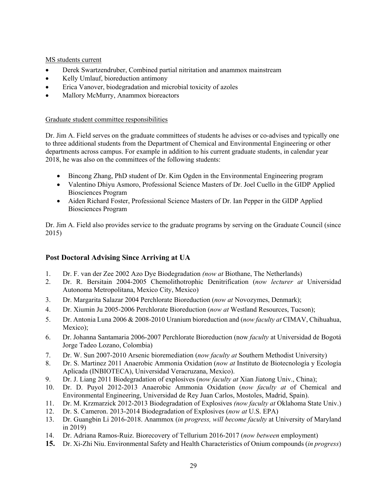MS students current

- Derek Swartzendruber, Combined partial nitritation and anammox mainstream
- Kelly Umlauf, bioreduction antimony
- Erica Vanover, biodegradation and microbial toxicity of azoles
- Mallory McMurry, Anammox bioreactors

# Graduate student committee responsibilities

Dr. Jim A. Field serves on the graduate committees of students he advises or co-advises and typically one to three additional students from the Department of Chemical and Environmental Engineering or other departments across campus. For example in addition to his current graduate students, in calendar year 2018, he was also on the committees of the following students:

- Bincong Zhang, PhD student of Dr. Kim Ogden in the Environmental Engineering program
- Valentino Dhiyu Asmoro, Professional Science Masters of Dr. Joel Cuello in the GIDP Applied Biosciences Program
- Aiden Richard Foster, Professional Science Masters of Dr. Ian Pepper in the GIDP Applied Biosciences Program

Dr. Jim A. Field also provides service to the graduate programs by serving on the Graduate Council (since 2015)

# **Post Doctoral Advising Since Arriving at UA**

- 1. Dr. F. van der Zee 2002 Azo Dye Biodegradation *(now at* Biothane, The Netherlands)
- 2. Dr. R. Bersitain 2004-2005 Chemolithotrophic Denitrification (*now lecturer at* Universidad Autonoma Metropolitana, Mexico City, Mexico)
- 3. Dr. Margarita Salazar 2004 Perchlorate Bioreduction (*now at* Novozymes, Denmark);
- 4. Dr. Xiumin Ju 2005-2006 Perchlorate Bioreduction (*now at* Westland Resources, Tucson);
- 5. Dr. Antonia Luna 2006 & 2008-2010 Uranium bioreduction and (*now faculty at* CIMAV, Chihuahua, Mexico);
- 6. Dr. Johanna Santamaria 2006-2007 Perchlorate Bioreduction (now *faculty* at Universidad de Bogotá Jorge Tadeo Lozano, Colombia)
- 7. Dr. W. Sun 2007-2010 Arsenic bioremediation (*now faculty at* Southern Methodist University)
- 8. Dr. S. Martinez 2011 Anaerobic Ammonia Oxidation (*now at* Instituto de Biotecnología y Ecología Aplicada (INBIOTECA), Universidad Veracruzana, Mexico).
- 9. Dr. J. Liang 2011 Biodegradation of explosives (*now faculty at* Xian Jiatong Univ., China);
- 10. Dr. D. Puyol 2012-2013 Anaerobic Ammonia Oxidation (*now faculty at* of Chemical and Environmental Engineering, Universidad de Rey Juan Carlos, Mostoles, Madrid, Spain).
- 11. Dr. M. Krzmarzick 2012-2013 Biodegradation of Explosives *(now faculty at* Oklahoma State Univ.)
- 12. Dr. S. Cameron. 2013-2014 Biodegradation of Explosives (*now at* U.S. EPA)
- 13. Dr. Guangbin Li 2016-2018. Anammox (*in progress, will become faculty* at University of Maryland in 2019)
- 14. Dr. Adriana Ramos-Ruiz. Biorecovery of Tellurium 2016-2017 (*now between* employment)
- **15.** Dr. Xi-Zhi Niu. Environmental Safety and Health Characteristics of Onium compounds (*in progress*)